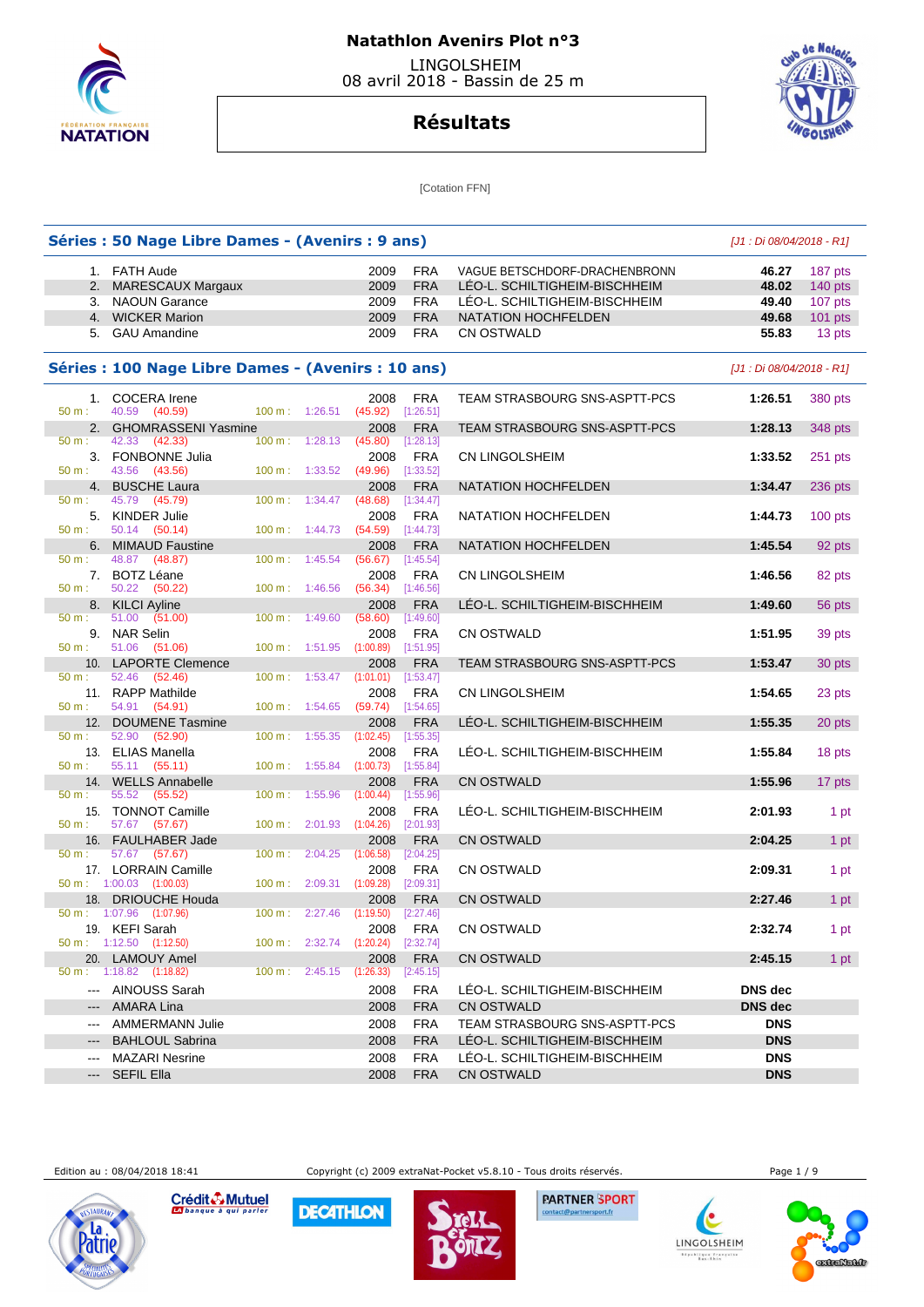

# **Résultats**



[Cotation FFN]

|                        | Séries : 50 Nage Libre Dames - (Avenirs : 9 ans)   |                                    |                   |                         |                               | [J1 : Di 08/04/2018 - R1] |           |
|------------------------|----------------------------------------------------|------------------------------------|-------------------|-------------------------|-------------------------------|---------------------------|-----------|
|                        | 1. FATH Aude                                       |                                    | 2009              | <b>FRA</b>              | VAGUE BETSCHDORF-DRACHENBRONN | 46.27                     | 187 pts   |
|                        | 2. MARESCAUX Margaux                               |                                    | 2009              | <b>FRA</b>              | LEO-L. SCHILTIGHEIM-BISCHHEIM | 48.02                     | $140$ pts |
|                        | 3. NAOUN Garance                                   |                                    | 2009              | <b>FRA</b>              | LEO-L. SCHILTIGHEIM-BISCHHEIM | 49.40                     | 107 pts   |
|                        | 4. WICKER Marion                                   |                                    | 2009              | <b>FRA</b>              | NATATION HOCHFELDEN           | 49.68                     | $101$ pts |
| 5.                     | <b>GAU Amandine</b>                                |                                    | 2009              | <b>FRA</b>              | <b>CN OSTWALD</b>             | 55.83                     | 13 pts    |
|                        | Séries : 100 Nage Libre Dames - (Avenirs : 10 ans) |                                    |                   |                         |                               | [J1 : Di 08/04/2018 - R1] |           |
| 50 m:                  | 1. COCERA Irene<br>40.59 (40.59)                   | $100 m$ : 1:26.51                  | 2008<br>(45.92)   | <b>FRA</b><br>[1:26.51] | TEAM STRASBOURG SNS-ASPTT-PCS | 1:26.51                   | 380 pts   |
|                        | 2. GHOMRASSENI Yasmine                             |                                    | 2008              | <b>FRA</b>              | TEAM STRASBOURG SNS-ASPTT-PCS | 1:28.13                   | 348 pts   |
| 50 m:                  | 42.33 (42.33)                                      | 1:28.13<br>$100 \text{ m}$ :       | (45.80)           | [1:28.13]               |                               |                           |           |
|                        | 3. FONBONNE Julia                                  |                                    | 2008              | <b>FRA</b>              | CN LINGOLSHEIM                | 1:33.52                   | 251 pts   |
| 50 m:                  | 43.56 (43.56)<br>4. BUSCHE Laura                   | 100 m: 1:33.52                     | (49.96)<br>2008   | [1:33.52]<br><b>FRA</b> | NATATION HOCHFELDEN           | 1:34.47                   | 236 pts   |
| 50 m:                  | 45.79 (45.79)                                      | $100 \text{ m}$ :<br>1:34.47       | (48.68)           | [1:34.47]               |                               |                           |           |
| 50 m:                  | 5. KINDER Julie<br>50.14 (50.14)                   | $100 \text{ m}: 1:44.73$           | 2008<br>(54.59)   | <b>FRA</b><br>[1:44.73] | NATATION HOCHFELDEN           | 1:44.73                   | $100$ pts |
|                        | 6. MIMAUD Faustine                                 |                                    | 2008              | <b>FRA</b>              | NATATION HOCHFELDEN           | 1:45.54                   | 92 pts    |
| 50 m:                  | 48.87 (48.87)                                      | 100 m: 1:45.54                     | (56.67)           | [1:45.54]               |                               |                           |           |
| 50 m:                  | 7. BOTZ Léane<br>50.22<br>(50.22)                  | $100 \text{ m}: 1:46.56$           | 2008<br>(56.34)   | <b>FRA</b><br>[1:46.56] | <b>CN LINGOLSHEIM</b>         | 1:46.56                   | 82 pts    |
|                        | 8. KILCI Ayline                                    |                                    | 2008              | <b>FRA</b>              | LÉO-L. SCHILTIGHEIM-BISCHHEIM | 1:49.60                   | 56 pts    |
| 50 m:                  | 51.00<br>(51.00)                                   | 100 m:<br>1:49.60                  | (58.60)           | [1:49.60]               |                               |                           |           |
| $50 m$ :               | 9. NAR Selin<br>51.06 (51.06)                      | 100 m: 1:51.95                     | 2008<br>(1:00.89) | <b>FRA</b><br>[1:51.95] | <b>CN OSTWALD</b>             | 1:51.95                   | 39 pts    |
|                        | 10. LAPORTE Clemence                               |                                    | 2008              | <b>FRA</b>              | TEAM STRASBOURG SNS-ASPTT-PCS | 1:53.47                   | 30 pts    |
| 50 m:                  | 52.46 (52.46)                                      | $100 \text{ m}$ :                  | 1:53.47 (1:01.01) | [1:53.47]               |                               |                           |           |
| 50 m:                  | 11. RAPP Mathilde<br>54.91 (54.91)                 | 100 m: 1:54.65                     | 2008<br>(59.74)   | <b>FRA</b><br>[1:54.65] | CN LINGOLSHEIM                | 1:54.65                   | 23 pts    |
|                        | 12. DOUMENE Tasmine                                |                                    | 2008              | <b>FRA</b>              | LÉO-L. SCHILTIGHEIM-BISCHHEIM | 1:55.35                   | 20 pts    |
| 50 m:                  | 52.90<br>(52.90)                                   | 100 m: 1:55.35                     | (1:02.45)         | [1:55.35]               |                               |                           |           |
| 13.                    | <b>ELIAS Manella</b>                               |                                    | 2008              | FRA                     | LEO-L. SCHILTIGHEIM-BISCHHEIM | 1:55.84                   | 18 pts    |
| 50 m:                  | 55.11<br>(55.11)                                   | $100 \text{ m}: 1:55.84$           | (1:00.73)         | [1:55.84]               |                               |                           |           |
|                        | 14. WELLS Annabelle                                |                                    | 2008              | <b>FRA</b>              | <b>CN OSTWALD</b>             | 1:55.96                   | 17 pts    |
| 50 m:                  | 55.52 (55.52)<br>15. TONNOT Camille                | 100 m:<br>1:55.96                  | (1:00.44)<br>2008 | [1:55.96]<br><b>FRA</b> | LEO-L. SCHILTIGHEIM-BISCHHEIM | 2:01.93                   |           |
| 50 m:                  | 57.67 (57.67)                                      | 100 m: 2:01.93                     | (1:04.26)         | [2:01.93]               |                               |                           | 1 pt      |
|                        | 16. FAULHABER Jade                                 |                                    | 2008              | <b>FRA</b>              | CN OSTWALD                    | 2:04.25                   | 1 pt      |
| 50 m:                  | 57.67 (57.67)                                      | $100 m$ :<br>2:04.25               | (1:06.58)         | [2:04.25]               |                               |                           |           |
|                        | 17. LORRAIN Camille                                |                                    | 2008              | <b>FRA</b>              | CN OSTWALD                    | 2:09.31                   | 1 pt      |
|                        | $50 \text{ m}$ : 1:00.03 (1:00.03)                 | 100 m: 2:09.31 (1:09.28)           |                   | [2:09.31]               |                               |                           |           |
|                        | 18. DRIOUCHE Houda<br>50 m: 1:07.96 (1:07.96)      | 100 m: 2:27.46 (1:19.50) [2:27.46] | 2008              | <b>FRA</b>              | <b>CN OSTWALD</b>             | 2:27.46                   | 1 pt      |
|                        | 19. KEFI Sarah                                     |                                    | 2008              | FRA                     | <b>CN OSTWALD</b>             | 2:32.74                   | 1 pt      |
|                        | $50 m$ : 1:12.50 (1:12.50)                         | 100 m: 2:32.74 (1:20.24)           |                   | $[2:32.74]$             |                               |                           |           |
|                        | 20. LAMOUY Amel                                    |                                    | 2008              | <b>FRA</b>              | <b>CN OSTWALD</b>             | 2:45.15                   | 1 pt      |
| $50 m$ :               | 1:18.82 (1:18.82)                                  | $100 \text{ m}: 2:45.15 (1:26.33)$ |                   | [2:45.15]               |                               |                           |           |
|                        | --- AINOUSS Sarah                                  |                                    | 2008              | <b>FRA</b>              | LEO-L. SCHILTIGHEIM-BISCHHEIM | DNS dec                   |           |
|                        | <b>AMARA Lina</b>                                  |                                    | 2008              | <b>FRA</b>              | <b>CN OSTWALD</b>             | <b>DNS</b> dec            |           |
| $\cdots$               | <b>AMMERMANN Julie</b>                             |                                    | 2008              | <b>FRA</b>              | TEAM STRASBOURG SNS-ASPTT-PCS | <b>DNS</b>                |           |
|                        | <b>BAHLOUL Sabrina</b>                             |                                    | 2008              | <b>FRA</b>              | LÉO-L. SCHILTIGHEIM-BISCHHEIM | <b>DNS</b>                |           |
| ---                    | <b>MAZARI Nesrine</b>                              |                                    | 2008              | <b>FRA</b>              | LEO-L. SCHILTIGHEIM-BISCHHEIM | <b>DNS</b>                |           |
| $\qquad \qquad \cdots$ | <b>SEFIL Ella</b>                                  |                                    | 2008              | <b>FRA</b>              | CN OSTWALD                    | <b>DNS</b>                |           |

Edition au : 08/04/2018 18:41 Copyright (c) 2009 extraNat-Pocket v5.8.10 - Tous droits réservés. Page 1 / 9



Crédit & Mutuel **DECATHLON** 



**PARTNER SPORT** port.fr



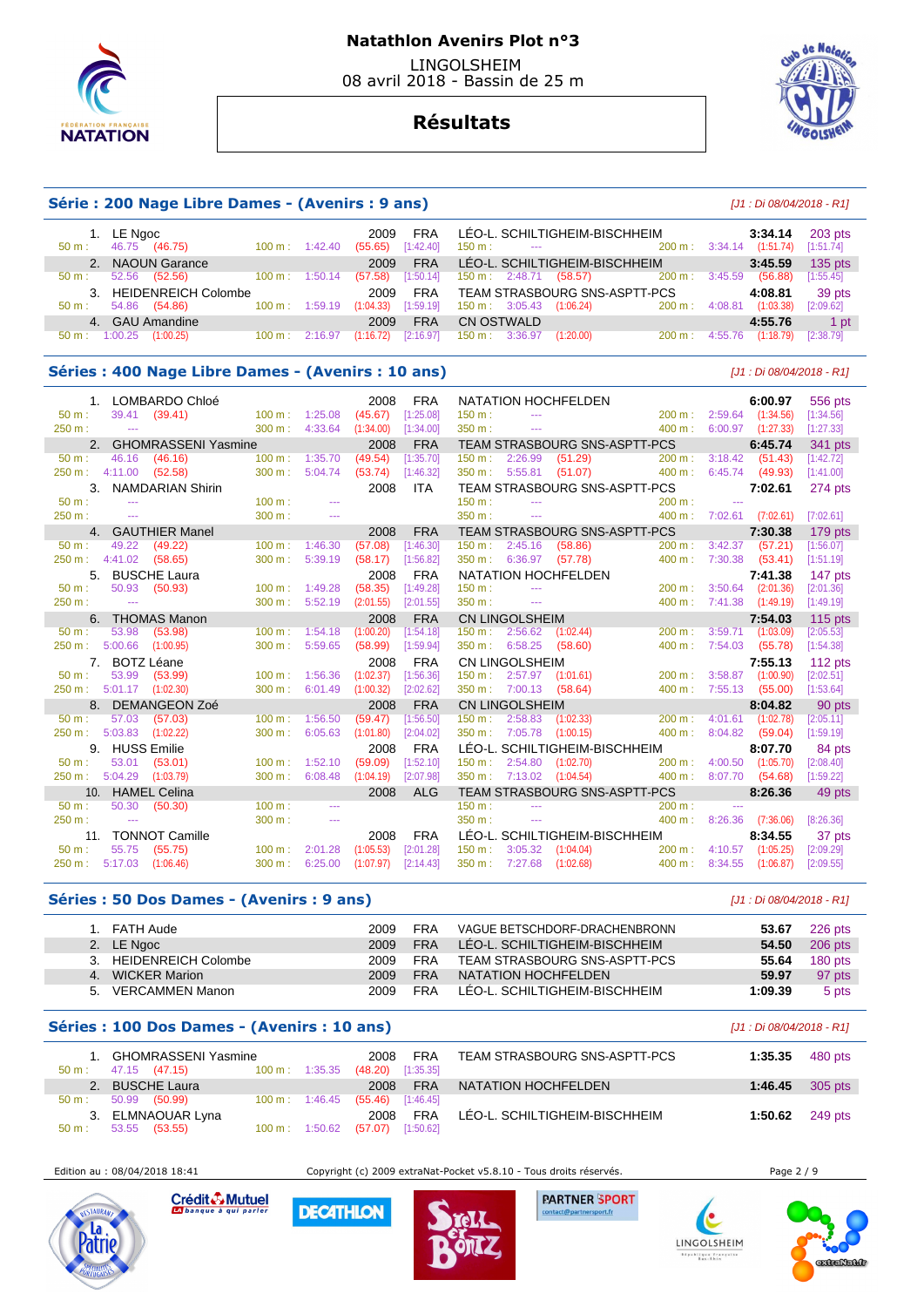



# **Résultats**

## **Série : 200 Nage Libre Dames - (Avenirs : 9 ans)** [J1 : Di 08/04/2018 - R1]

| 1. LE Ngoc                               |                          | 2009                 | <b>FRA</b> |                                                   | LÉO-L. SCHILTIGHEIM-BISCHHEIM |                   |         | 3:34.14   | 203 pts   |
|------------------------------------------|--------------------------|----------------------|------------|---------------------------------------------------|-------------------------------|-------------------|---------|-----------|-----------|
| 46.75<br>(46.75)<br>$50 \text{ m}$ :     | $100 \text{ m}$ :        | (55.65)<br>1:42.40   | [1:42.40]  | $150 \text{ m}$ :<br>and the season of the season |                               | $200 \text{ m}$ : | 3:34.14 | (1:51.74) | [1:51.74] |
| 2. NAOUN Garance                         |                          | 2009                 | <b>FRA</b> |                                                   | LÉO-L. SCHILTIGHEIM-BISCHHEIM |                   |         | 3:45.59   | $135$ pts |
| 52.56<br>(52.56)<br>$50 \text{ m}$ :     | $100 \text{ m}$ :        | (57.58)<br>1:50.14   | [1:50.14]  | $150 \text{ m}: 2:48.71$ (58.57)                  |                               | 200 m: 3:45.59    |         | (56.88)   | [1:55.45] |
| 3. HEIDENREICH Colombe                   |                          | 2009                 | FRA        |                                                   | TEAM STRASBOURG SNS-ASPTT-PCS |                   |         | 4:08.81   | 39 pts    |
| 54.86<br>(54.86)<br>$50 \text{ m}$ :     | $100 \text{ m}: 1:59.19$ | (1:04.33)            | [1:59.19]  | $150 \text{ m}: 3:05.43$ $(1:06.24)$              |                               | 200 m :           | 4:08.81 | (1:03.38) | [2:09.62] |
| 4. GAU Amandine                          |                          | 2009                 | <b>FRA</b> | CN OSTWALD                                        |                               |                   |         | 4:55.76   | 1 pt      |
| 1:00.25<br>(1:00.25)<br>$50 \text{ m}$ : | $100 \text{ m}$ :        | 2:16.97<br>(1:16.72) | [2:16.97]  | 150 m: 3:36.97                                    | (1:20.00)                     | $200 \text{ m}$ : | 4:55.76 | (1:18.79) | [2:38.79] |

#### **Séries : 400 Nage Libre Dames - (Avenirs : 10 ans)** [J1 : Di 08/04/2018 - R1]

|                  |                       | 1. LOMBARDO Chloé      |                             |               | 2008      | <b>FRA</b> |                   |                                                                                                                                                                                                                                                                                                                                                                                                                                                                            | NATATION HOCHFELDEN           |                   |               | 6:00.97                  | 556 pts   |
|------------------|-----------------------|------------------------|-----------------------------|---------------|-----------|------------|-------------------|----------------------------------------------------------------------------------------------------------------------------------------------------------------------------------------------------------------------------------------------------------------------------------------------------------------------------------------------------------------------------------------------------------------------------------------------------------------------------|-------------------------------|-------------------|---------------|--------------------------|-----------|
| $50 \text{ m}$ : | 39.41                 | (39.41)                | $100 \text{ m}$ : 1:25.08   |               | (45.67)   | [1:25.08]  | $150 m$ :         | $\cdots$                                                                                                                                                                                                                                                                                                                                                                                                                                                                   |                               | 200 m: 2:59.64    |               | (1:34.56)                | [1:34.56] |
| 250 m:           | $\sim$                |                        | $300 \text{ m}$ :           | 4:33.64       | (1:34.00) | [1:34.00]  | 350 m:            | $\frac{1}{2} \left( \frac{1}{2} \right) \left( \frac{1}{2} \right) \left( \frac{1}{2} \right) \left( \frac{1}{2} \right) \left( \frac{1}{2} \right) \left( \frac{1}{2} \right) \left( \frac{1}{2} \right) \left( \frac{1}{2} \right) \left( \frac{1}{2} \right) \left( \frac{1}{2} \right) \left( \frac{1}{2} \right) \left( \frac{1}{2} \right) \left( \frac{1}{2} \right) \left( \frac{1}{2} \right) \left( \frac{1}{2} \right) \left( \frac{1}{2} \right) \left( \frac$ |                               | 400 m:            | 6:00.97       | (1:27.33)                | [1:27.33] |
|                  |                       | 2. GHOMRASSENI Yasmine |                             |               | 2008      | <b>FRA</b> |                   |                                                                                                                                                                                                                                                                                                                                                                                                                                                                            | TEAM STRASBOURG SNS-ASPTT-PCS |                   |               | 6:45.74                  | 341 pts   |
| 50 m:            | 46.16                 | (46.16)                | $100 m$ :                   | 1:35.70       | (49.54)   | [1:35.70]  | $150 m$ :         | 2:26.99                                                                                                                                                                                                                                                                                                                                                                                                                                                                    | (51.29)                       | 200 m:            | 3:18.42       | (51.43)                  | [1:42.72] |
| 250 m:           | 4:11.00               | (52.58)                | $300 m$ :                   | 5:04.74       | (53.74)   | [1:46.32]  | 350 m:            | 5:55.81                                                                                                                                                                                                                                                                                                                                                                                                                                                                    | (51.07)                       | 400 m:            | 6:45.74       | (49.93)                  | [1:41.00] |
|                  |                       | 3. NAMDARIAN Shirin    |                             |               | 2008      | <b>ITA</b> |                   |                                                                                                                                                                                                                                                                                                                                                                                                                                                                            | TEAM STRASBOURG SNS-ASPTT-PCS |                   |               | 7:02.61                  | 274 pts   |
| $50 m$ :         | $\sim$                |                        | $100 \text{ m}$ :           |               |           |            | 150 m:            | $\sim$ $\sim$                                                                                                                                                                                                                                                                                                                                                                                                                                                              |                               | 200 m:            | $\sim$ $\sim$ |                          |           |
| 250 m:           | $\sim$ $\sim$         |                        | 300 m:                      | $-$           |           |            | 350 m:            | $\sim$ $\sim$ $\sim$                                                                                                                                                                                                                                                                                                                                                                                                                                                       |                               |                   |               | 400 m: 7:02.61 (7:02.61) | [7:02.61] |
|                  |                       | 4. GAUTHIER Manel      |                             |               | 2008      | <b>FRA</b> |                   |                                                                                                                                                                                                                                                                                                                                                                                                                                                                            | TEAM STRASBOURG SNS-ASPTT-PCS |                   |               | 7:30.38                  | 179 pts   |
| $50 m$ :         | 49.22                 | (49.22)                | $100 \text{ m}$ : 1:46.30   |               | (57.08)   | [1:46.30]  | 150 m:            | 2:45.16                                                                                                                                                                                                                                                                                                                                                                                                                                                                    | (58.86)                       | 200 m:            | 3:42.37       | (57.21)                  | [1:56.07] |
| 250 m:           | 4:41.02               | (58.65)                | 300 m:                      | 5:39.19       | (58.17)   | [1:56.82]  | 350 m:            | 6:36.97                                                                                                                                                                                                                                                                                                                                                                                                                                                                    | (57.78)                       | 400 m:            | 7:30.38       | (53.41)                  | [1:51.19] |
| 5.               |                       | <b>BUSCHE Laura</b>    |                             |               | 2008      | <b>FRA</b> |                   |                                                                                                                                                                                                                                                                                                                                                                                                                                                                            | NATATION HOCHFELDEN           |                   |               | 7:41.38                  | 147 pts   |
| 50 m:            | 50.93                 | (50.93)                | $100 \text{ m}$ :           | 1:49.28       | (58.35)   | [1:49.28]  | 150 m:            | $\sim$ $\sim$                                                                                                                                                                                                                                                                                                                                                                                                                                                              |                               | 200 m:            | 3:50.64       | (2:01.36)                | [2:01.36] |
| 250 m:           | $\sim$                |                        | $300 \text{ m}$ : $5:52.19$ |               | (2:01.55) | [2:01.55]  | 350 m:            | $\sim$                                                                                                                                                                                                                                                                                                                                                                                                                                                                     |                               | $400 \text{ m}$ : | 7:41.38       | (1:49.19)                | [1:49.19] |
|                  |                       | 6. THOMAS Manon        |                             |               | 2008      | <b>FRA</b> |                   | <b>CN LINGOLSHEIM</b>                                                                                                                                                                                                                                                                                                                                                                                                                                                      |                               |                   |               | 7:54.03                  | $115$ pts |
| $50 m$ :         | 53.98                 | (53.98)                | 100 m: 1:54.18              |               | (1:00.20) | [1:54.18]  |                   | 150 m: 2:56.62 (1:02.44)                                                                                                                                                                                                                                                                                                                                                                                                                                                   |                               | $200 \text{ m}$ : | 3:59.71       | (1:03.09)                | [2:05.53] |
| 250 m: 5:00.66   |                       | (1:00.95)              | $300 \text{ m}$ :           | 5:59.65       | (58.99)   | [1:59.94]  | 350 m:            | 6:58.25                                                                                                                                                                                                                                                                                                                                                                                                                                                                    | (58.60)                       | 400 m:            | 7:54.03       | (55.78)                  | [1:54.38] |
|                  | 7. BOTZ Léane         |                        |                             |               | 2008      | <b>FRA</b> |                   | <b>CN LINGOLSHEIM</b>                                                                                                                                                                                                                                                                                                                                                                                                                                                      |                               |                   |               | 7:55.13                  | 112 pts   |
| $50 m$ :         | 53.99                 | (53.99)                | $100 \text{ m}$ :           | 1:56.36       | (1:02.37) | [1:56.36]  |                   | 150 m : 2:57.97 (1:01.61)                                                                                                                                                                                                                                                                                                                                                                                                                                                  |                               | 200 m:            | 3:58.87       | (1:00.90)                | [2:02.51] |
| 250 m :          | $5:01.17$ $(1:02.30)$ |                        | 300 m:                      | 6:01.49       | (1:00.32) | [2:02.62]  |                   | $350 \text{ m}: 7:00.13$                                                                                                                                                                                                                                                                                                                                                                                                                                                   | (58.64)                       | 400 m:            | 7:55.13       | (55.00)                  | [1:53.64] |
| 8 <sub>1</sub>   |                       | DEMANGEON Zoé          |                             |               | 2008      | <b>FRA</b> |                   | <b>CN LINGOLSHEIM</b>                                                                                                                                                                                                                                                                                                                                                                                                                                                      |                               |                   |               | 8:04.82                  | 90 pts    |
| $50 m$ :         | 57.03                 | (57.03)                | $100 \text{ m}$ :           | 1:56.50       | (59.47)   | [1:56.50]  | $150 \text{ m}$ : | 2:58.83                                                                                                                                                                                                                                                                                                                                                                                                                                                                    | (1:02.33)                     | $200 \text{ m}$ : | 4:01.61       | (1:02.78)                | [2:05.11] |
| 250 m:           | 5:03.83               | (1:02.22)              | 300 m:                      | 6:05.63       | (1:01.80) | [2:04.02]  | 350 m:            | 7:05.78                                                                                                                                                                                                                                                                                                                                                                                                                                                                    | (1:00.15)                     | 400 m:            | 8:04.82       | (59.04)                  | [1:59.19] |
|                  | 9. HUSS Emilie        |                        |                             |               | 2008      | <b>FRA</b> |                   |                                                                                                                                                                                                                                                                                                                                                                                                                                                                            | LÉO-L. SCHILTIGHEIM-BISCHHEIM |                   |               | 8:07.70                  | 84 pts    |
| $50 m$ :         | 53.01                 | (53.01)                | $100 \text{ m}$ : 1:52.10   |               | (59.09)   | [1:52.10]  | $150 \text{ m}$ : |                                                                                                                                                                                                                                                                                                                                                                                                                                                                            | $2:54.80$ $(1:02.70)$         | 200 m:            | 4:00.50       | (1:05.70)                | [2:08.40] |
| 250 m:           | 5:04.29               | (1:03.79)              | 300 m:                      | 6:08.48       | (1:04.19) | [2:07.98]  | 350 m:            | 7:13.02                                                                                                                                                                                                                                                                                                                                                                                                                                                                    | (1:04.54)                     | 400 m:            | 8:07.70       | (54.68)                  | [1:59.22] |
|                  |                       | 10. HAMEL Celina       |                             |               | 2008      | <b>ALG</b> |                   |                                                                                                                                                                                                                                                                                                                                                                                                                                                                            | TEAM STRASBOURG SNS-ASPTT-PCS |                   |               | 8:26.36                  | 49 pts    |
| $50 m$ :         | 50.30                 | (50.30)                | $100 \text{ m}$ :           |               |           |            | $150 m$ :         |                                                                                                                                                                                                                                                                                                                                                                                                                                                                            |                               | 200 m:            |               |                          |           |
| 250 m:           | $\sim$ $\sim$         |                        | 300 m:                      | $\sim$ $\sim$ |           |            | 350 m:            | $\sim$ $\sim$                                                                                                                                                                                                                                                                                                                                                                                                                                                              |                               | 400 m:            | 8:26.36       | (7:36.06)                | [8:26.36] |
| 11.              |                       | <b>TONNOT Camille</b>  |                             |               | 2008      | <b>FRA</b> |                   |                                                                                                                                                                                                                                                                                                                                                                                                                                                                            | LÉO-L. SCHILTIGHEIM-BISCHHEIM |                   |               | 8:34.55                  | 37 pts    |
| $50 m$ :         | 55.75                 | (55.75)                | $100 \text{ m}$ :           | 2:01.28       | (1:05.53) | [2:01.28]  | $150 m$ :         | 3:05.32                                                                                                                                                                                                                                                                                                                                                                                                                                                                    | (1:04.04)                     | 200 m:            | 4:10.57       | (1:05.25)                | [2:09.29] |
| 250 m:           | 5:17.03               | (1:06.46)              | 300 m:                      | 6:25.00       | (1:07.97) | [2:14.43]  | 350 m:            | 7:27.68                                                                                                                                                                                                                                                                                                                                                                                                                                                                    | (1:02.68)                     | 400 m:            | 8:34.55       | (1:06.87)                | [2:09.55] |

#### **Séries : 50 Dos Dames - (Avenirs : 9 ans)** [J1 : Di 08/04/2018 - R1]

| 1. FATH Aude           | 2009. | <b>FRA</b> | VAGUE BETSCHDORF-DRACHENBRONN | 53.67   | 226 pts   |
|------------------------|-------|------------|-------------------------------|---------|-----------|
| 2. LE Ngoc             | 2009  | <b>FRA</b> | LÉO-L. SCHILTIGHEIM-BISCHHEIM | 54.50   | $206$ pts |
| 3. HEIDENREICH Colombe | 2009. | FRA        | TEAM STRASBOURG SNS-ASPTT-PCS | 55.64   | $180$ pts |
| 4. WICKER Marion       | 2009  | <b>FRA</b> | NATATION HOCHFELDEN           | 59.97   | 97 pts    |
| 5. VERCAMMEN Manon     | 2009. | <b>FRA</b> | LEO-L. SCHILTIGHEIM-BISCHHEIM | 1:09.39 | 5 pts     |

#### **Séries : 100 Dos Dames - (Avenirs : 10 ans)** [J1 : Di 08/04/2018 - R1]

| $50 m$ :         | GHOMRASSENI Yasmine<br>47.15 (47.15)<br>$100 \text{ m}: 1:35.35$ | 2008<br>(48.20) | <b>FRA</b><br>[1:35.35] | TEAM STRASBOURG SNS-ASPTT-PCS | 1:35.35 | 480 pts |
|------------------|------------------------------------------------------------------|-----------------|-------------------------|-------------------------------|---------|---------|
|                  | 2. BUSCHE Laura                                                  | 2008            | <b>FRA</b>              | NATATION HOCHFELDEN           | 1:46.45 | 305 pts |
| $50 \text{ m}$ : | $100 \text{ m}: 1:46.45$<br>50.99 (50.99)                        | (55.46)         | [1:46.45]               |                               |         |         |
|                  | 3. ELMNAOUAR Lyna                                                | 2008            | <b>FRA</b>              | LÉO-L. SCHILTIGHEIM-BISCHHEIM | 1:50.62 | 249 pts |
| $50 m$ :         | 53.55 (53.55)<br>$100 \text{ m}$ : 1:50.62                       | (57.07)         | [1:50.62]               |                               |         |         |

Edition au : 08/04/2018 18:41 Copyright (c) 2009 extraNat-Pocket v5.8.10 - Tous droits réservés. Page 2 / 9



Crédit & Mutuel

**DECATHLON** 





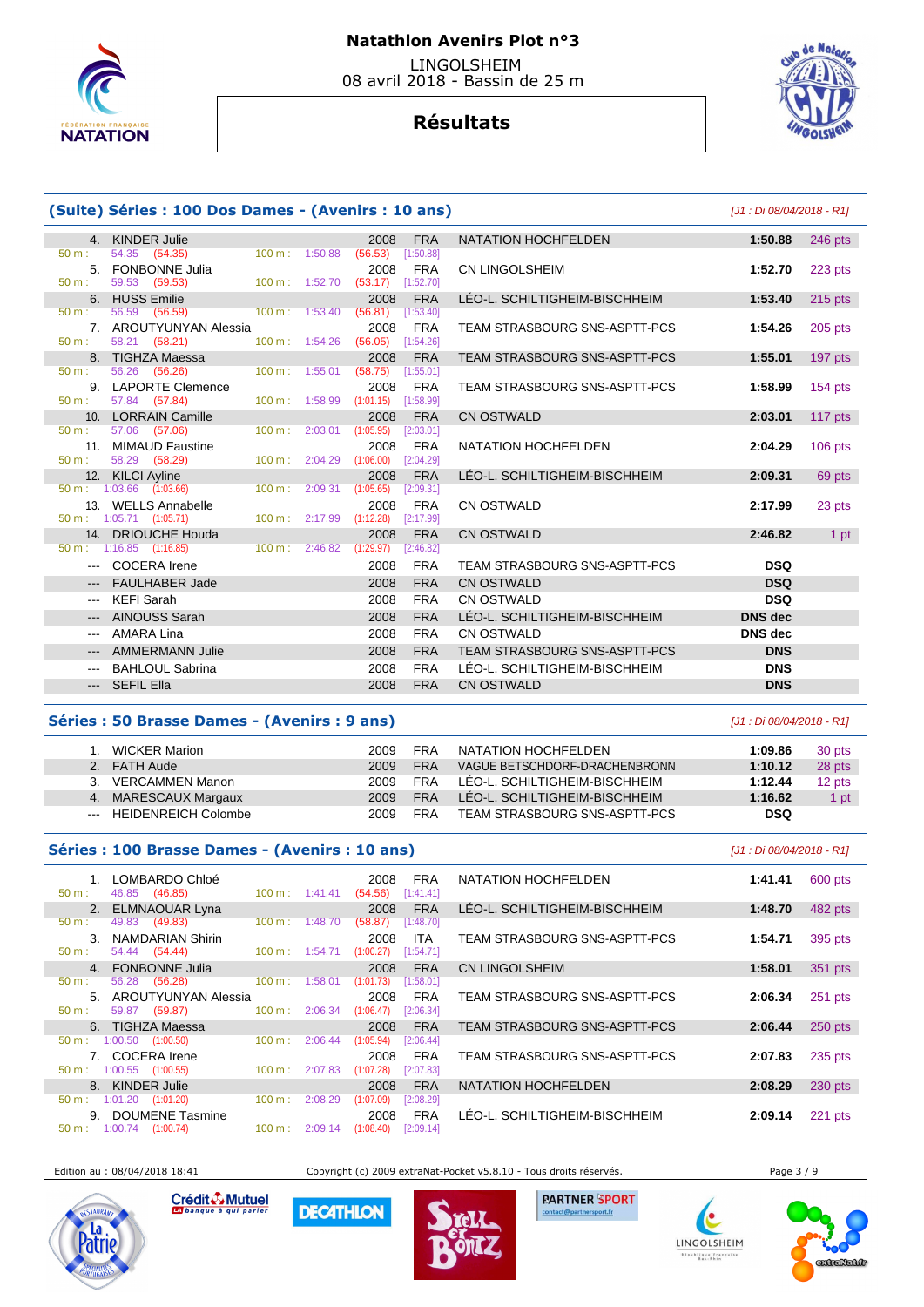

# **Résultats**



# **(Suite) Séries : 100 Dos Dames - (Avenirs : 10 ans)** [J1 : Di 08/04/2018 - R1]

|                                                                                                                                                                                                                                                                                                                                                                                                                                                                            | 4. KINDER Julie                      |                           |                             | 2008                               | <b>FRA</b>              | <b>NATATION HOCHFELDEN</b>    | 1:50.88        | 246 pts        |
|----------------------------------------------------------------------------------------------------------------------------------------------------------------------------------------------------------------------------------------------------------------------------------------------------------------------------------------------------------------------------------------------------------------------------------------------------------------------------|--------------------------------------|---------------------------|-----------------------------|------------------------------------|-------------------------|-------------------------------|----------------|----------------|
| 50 m:                                                                                                                                                                                                                                                                                                                                                                                                                                                                      | 54.35 (54.35)                        | 100 m: 1:50.88            |                             | (56.53)                            | [1:50.88]               |                               |                |                |
|                                                                                                                                                                                                                                                                                                                                                                                                                                                                            | 5. FONBONNE Julia                    |                           |                             | 2008                               | <b>FRA</b>              | CN LINGOLSHEIM                | 1:52.70        | 223 pts        |
| 50 m:                                                                                                                                                                                                                                                                                                                                                                                                                                                                      | 59.53 (59.53)                        | 100 m: 1:52.70            |                             | (53.17)                            | [1:52.70]               |                               |                |                |
|                                                                                                                                                                                                                                                                                                                                                                                                                                                                            | 6. HUSS Emilie                       |                           |                             | 2008                               | <b>FRA</b>              | LÉO-L. SCHILTIGHEIM-BISCHHEIM | 1:53.40        | $215$ pts      |
| $50 \text{ m}$ :                                                                                                                                                                                                                                                                                                                                                                                                                                                           | 56.59 (56.59)                        |                           | 100 m: 1:53.40              | (56.81)                            | [1:53.40]               |                               |                |                |
|                                                                                                                                                                                                                                                                                                                                                                                                                                                                            | 7. AROUTYUNYAN Alessia               |                           |                             | 2008                               | <b>FRA</b>              | TEAM STRASBOURG SNS-ASPTT-PCS | 1:54.26        | $205$ pts      |
| 50 m:                                                                                                                                                                                                                                                                                                                                                                                                                                                                      | 58.21 (58.21)                        | $100 m$ : 1:54.26         |                             | (56.05)                            | [1:54.26]               |                               |                |                |
|                                                                                                                                                                                                                                                                                                                                                                                                                                                                            | 8. TIGHZA Maessa                     |                           |                             | 2008                               | <b>FRA</b>              | TEAM STRASBOURG SNS-ASPTT-PCS | 1:55.01        | 197 pts        |
| 50 m:                                                                                                                                                                                                                                                                                                                                                                                                                                                                      | 56.26 (56.26)                        | $100 \text{ m}$ : 1:55.01 |                             | (58.75)                            | [1:55.01]               |                               |                |                |
|                                                                                                                                                                                                                                                                                                                                                                                                                                                                            | 9. LAPORTE Clemence                  |                           |                             | 2008                               | <b>FRA</b>              | TEAM STRASBOURG SNS-ASPTT-PCS | 1:58.99        | <b>154 pts</b> |
| 50 m:                                                                                                                                                                                                                                                                                                                                                                                                                                                                      | 57.84 (57.84)                        |                           |                             | 100 m: 1:58.99 (1:01.15) [1:58.99] |                         |                               |                |                |
|                                                                                                                                                                                                                                                                                                                                                                                                                                                                            | 10. LORRAIN Camille                  |                           |                             | 2008                               | <b>FRA</b>              | <b>CN OSTWALD</b>             | 2:03.01        | 117 pts        |
| $50 \text{ m}$ :                                                                                                                                                                                                                                                                                                                                                                                                                                                           | 57.06 (57.06)                        | $100 \text{ m}$ :         | 2:03.01                     | (1:05.95)                          | [2:03.01]               |                               |                |                |
| $50 m$ :                                                                                                                                                                                                                                                                                                                                                                                                                                                                   | 11. MIMAUD Faustine<br>58.29 (58.29) |                           | $100 \text{ m}$ : $2:04.29$ | 2008<br>(1:06.00)                  | <b>FRA</b><br>[2:04.29] | NATATION HOCHFELDEN           | 2:04.29        | $106$ pts      |
|                                                                                                                                                                                                                                                                                                                                                                                                                                                                            | 12. KILCI Ayline                     |                           |                             | 2008                               | <b>FRA</b>              | LÉO-L. SCHILTIGHEIM-BISCHHEIM | 2:09.31        | 69 pts         |
|                                                                                                                                                                                                                                                                                                                                                                                                                                                                            | $50 \text{ m}: 1:03.66$ $(1:03.66)$  |                           | $100 \text{ m}$ : 2:09.31   | (1:05.65)                          | [2:09.31]               |                               |                |                |
|                                                                                                                                                                                                                                                                                                                                                                                                                                                                            | 13. WELLS Annabelle                  |                           |                             | 2008                               | <b>FRA</b>              | <b>CN OSTWALD</b>             | 2:17.99        | 23 pts         |
|                                                                                                                                                                                                                                                                                                                                                                                                                                                                            | $50 \text{ m}: 1:05.71$ (1:05.71)    | 100 m: 2:17.99            |                             | (1:12.28)                          | [2:17.99]               |                               |                |                |
|                                                                                                                                                                                                                                                                                                                                                                                                                                                                            | 14. DRIOUCHE Houda                   |                           |                             | 2008                               | <b>FRA</b>              | <b>CN OSTWALD</b>             | 2:46.82        | 1 pt           |
|                                                                                                                                                                                                                                                                                                                                                                                                                                                                            | $50 \text{ m}$ : 1:16.85 (1:16.85)   | $100 \text{ m}: 2:46.82$  |                             | (1:29.97)                          | [2:46.82]               |                               |                |                |
|                                                                                                                                                                                                                                                                                                                                                                                                                                                                            | --- COCERA Irene                     |                           |                             | 2008                               | <b>FRA</b>              | TEAM STRASBOURG SNS-ASPTT-PCS | <b>DSQ</b>     |                |
|                                                                                                                                                                                                                                                                                                                                                                                                                                                                            | --- FAULHABER Jade                   |                           |                             | 2008                               | <b>FRA</b>              | <b>CN OSTWALD</b>             | <b>DSQ</b>     |                |
| $\frac{1}{2} \left( \frac{1}{2} \right) \left( \frac{1}{2} \right) \left( \frac{1}{2} \right)$                                                                                                                                                                                                                                                                                                                                                                             | KEFI Sarah                           |                           |                             | 2008                               | <b>FRA</b>              | CN OSTWALD                    | <b>DSQ</b>     |                |
|                                                                                                                                                                                                                                                                                                                                                                                                                                                                            | <b>AINOUSS Sarah</b>                 |                           |                             | 2008                               | <b>FRA</b>              | LÉO-L. SCHILTIGHEIM-BISCHHEIM | <b>DNS</b> dec |                |
| $\frac{1}{2} \left( \frac{1}{2} \right) \left( \frac{1}{2} \right) \left( \frac{1}{2} \right) \left( \frac{1}{2} \right) \left( \frac{1}{2} \right) \left( \frac{1}{2} \right) \left( \frac{1}{2} \right) \left( \frac{1}{2} \right) \left( \frac{1}{2} \right) \left( \frac{1}{2} \right) \left( \frac{1}{2} \right) \left( \frac{1}{2} \right) \left( \frac{1}{2} \right) \left( \frac{1}{2} \right) \left( \frac{1}{2} \right) \left( \frac{1}{2} \right) \left( \frac$ | AMARA Lina                           |                           |                             | 2008                               | <b>FRA</b>              | CN OSTWALD                    | DNS dec        |                |
|                                                                                                                                                                                                                                                                                                                                                                                                                                                                            | <b>AMMERMANN Julie</b>               |                           |                             | 2008                               | <b>FRA</b>              | TEAM STRASBOURG SNS-ASPTT-PCS | <b>DNS</b>     |                |
|                                                                                                                                                                                                                                                                                                                                                                                                                                                                            | <b>BAHLOUL Sabrina</b>               |                           |                             | 2008                               | <b>FRA</b>              | LEO-L. SCHILTIGHEIM-BISCHHEIM | <b>DNS</b>     |                |
|                                                                                                                                                                                                                                                                                                                                                                                                                                                                            |                                      |                           |                             |                                    |                         |                               |                |                |
|                                                                                                                                                                                                                                                                                                                                                                                                                                                                            | --- SEFIL Ella                       |                           |                             | 2008                               | <b>FRA</b>              | <b>CN OSTWALD</b>             | <b>DNS</b>     |                |
|                                                                                                                                                                                                                                                                                                                                                                                                                                                                            |                                      |                           |                             |                                    |                         |                               |                |                |

## **Séries : 50 Brasse Dames - (Avenirs : 9 ans)** [J1 : Di 08/04/2018 - R1]

|    | <b>WICKER Marion</b>    | 2009 | FRA        | NATATION HOCHFELDEN           | 1:09.86 | 30 pts |
|----|-------------------------|------|------------|-------------------------------|---------|--------|
|    | 2. FATH Aude            | 2009 | <b>FRA</b> | VAGUE BETSCHDORF-DRACHENBRONN | 1:10.12 | 28 pts |
| 3. | VERCAMMEN Manon         | 2009 | FRA        | LEO-L. SCHILTIGHEIM-BISCHHEIM | 1:12.44 | 12 pts |
|    | 4. MARESCAUX Margaux    | 2009 | <b>FRA</b> | LÉO-L. SCHILTIGHEIM-BISCHHEIM | 1:16.62 | 1 pt   |
|    | --- HEIDENREICH Colombe | 2009 | <b>FRA</b> | TEAM STRASBOURG SNS-ASPTT-PCS | DSQ     |        |

## **Séries : 100 Brasse Dames - (Avenirs : 10 ans)** [J1 : Di 08/04/2018 - R1]

|                                    | 1. LOMBARDO Chloé   |                        |                          |                          |                                    | 2008 FRA   |
|------------------------------------|---------------------|------------------------|--------------------------|--------------------------|------------------------------------|------------|
| 50 m:                              | 46.85 (46.85)       |                        |                          | $100 \text{ m}: 1:41.41$ | $(54.56)$ [1:41.41]                |            |
|                                    | 2. ELMNAOUAR Lyna   |                        |                          |                          |                                    | 2008 FRA   |
| $50 \text{ m}$ :                   | 49.83 (49.83)       |                        | 100 m:                   | 1:48.70                  | (58.87)                            | [1:48.70]  |
|                                    | 3. NAMDARIAN Shirin |                        |                          |                          | 2008                               | <b>ITA</b> |
| $50 \text{ m}$ :                   | 54.44 (54.44)       |                        |                          | $100 \text{ m}: 1:54.71$ | (1:00.27)                          | [1:54.71]  |
|                                    | 4. FONBONNE Julia   |                        |                          |                          | 2008                               | <b>FRA</b> |
| $50 \text{ m}$ :                   | 56.28 (56.28)       |                        | 100 m:                   | 1:58.01                  | (1:01.73)                          | [1:58.01]  |
|                                    |                     | 5. AROUTYUNYAN Alessia |                          |                          | 2008                               | <b>FRA</b> |
| $50 \text{ m}$ :                   | 59.87 (59.87)       |                        | 100 m:                   | 2:06.34                  | (1:06.47)                          | [2:06.34]  |
|                                    | 6. TIGHZA Maessa    |                        |                          |                          | 2008                               | <b>FRA</b> |
| $50 \text{ m}$ : 1:00.50 (1:00.50) |                     |                        | 100 m:                   | 2:06.44                  | (1:05.94)                          | [2:06.44]  |
|                                    | 7. COCERA Irene     |                        |                          |                          | 2008                               | <b>FRA</b> |
| $50 \text{ m}$ : 1:00.55 (1:00.55) |                     |                        | $100 \text{ m}: 2:07.83$ |                          | (1:07.28)                          | [2:07.83]  |
|                                    | 8. KINDER Julie     |                        |                          |                          | 2008                               | <b>FRA</b> |
| $50 \text{ m}$ : 1:01.20 (1:01.20) |                     |                        | 100 m:                   | 2:08.29                  | (1:07.09)                          | [2:08.29]  |
|                                    | 9. DOUMENE Tasmine  |                        |                          |                          | 2008                               | <b>FRA</b> |
| $50 \text{ m}: 1:00.74$ (1:00.74)  |                     |                        |                          |                          | $100 \text{ m}: 2:09.14 (1:08.40)$ | [2:09.14]  |
|                                    |                     |                        |                          |                          |                                    |            |

| 1.    | LOMBARDO Chloé<br>46.85 (46.85)           | $100 \text{ m}$ :         | 1:41.41 | 2008<br>(54.56)       | <b>FRA</b><br>[1:41.41] | NATATION HOCHFELDEN           | 1:41.41 | 600 pts |
|-------|-------------------------------------------|---------------------------|---------|-----------------------|-------------------------|-------------------------------|---------|---------|
|       | 2. ELMNAOUAR Lyna                         |                           |         | 2008                  | <b>FRA</b>              | LEO-L. SCHILTIGHEIM-BISCHHEIM | 1:48.70 | 482 pts |
|       | (49.83)<br>49.83                          | 100 m:                    | 1:48.70 | (58.87)               | [1:48.70]               |                               |         |         |
|       | 3. NAMDARIAN Shirin                       |                           |         | 2008                  | <b>ITA</b>              | TEAM STRASBOURG SNS-ASPTT-PCS | 1:54.71 | 395 pts |
|       | 54.44 (54.44)                             | $100 \text{ m}$ : 1:54.71 |         | (1:00.27)             | [1:54.71]               |                               |         |         |
|       | 4. FONBONNE Julia                         |                           |         | 2008                  | <b>FRA</b>              | <b>CN LINGOLSHEIM</b>         | 1:58.01 | 351 pts |
|       | (56.28)<br>56.28                          | 100 m:                    | 1:58.01 | (1:01.73)             | [1:58.01]               |                               |         |         |
|       | 5. AROUTYUNYAN Alessia                    |                           |         | 2008                  | <b>FRA</b>              | TEAM STRASBOURG SNS-ASPTT-PCS | 2:06.34 | 251 pts |
|       | (59.87)<br>59.87                          | $100 \text{ m}$ :         | 2:06.34 | (1:06.47)             | [2:06.34]               |                               |         |         |
|       | 6. TIGHZA Maessa                          |                           |         | 2008                  | <b>FRA</b>              | TEAM STRASBOURG SNS-ASPTT-PCS | 2:06.44 | 250 pts |
| ۰.    | 1:00.50<br>(1:00.50)                      | 100 m:                    | 2:06.44 | (1:05.94)             | [2:06.44]               |                               |         |         |
|       | 7. COCERA Irene                           |                           |         | 2008                  | <b>FRA</b>              | TEAM STRASBOURG SNS-ASPTT-PCS | 2:07.83 | 235 pts |
|       | $1:00.55$ $(1:00.55)$                     | 100 m:                    | 2:07.83 | (1:07.28)             | [2:07.83]               |                               |         |         |
|       | 8. KINDER Julie                           |                           |         | 2008                  | <b>FRA</b>              | NATATION HOCHFELDEN           | 2:08.29 | 230 pts |
| t - 1 | $1:01.20$ $(1:01.20)$                     | $100 \text{ m}$ :         | 2:08.29 | (1:07.09)             | [2:08.29]               |                               |         |         |
|       | 9. DOUMENE Tasmine<br>$1.0071$ $(1.0071)$ |                           |         | 2008<br>$(100 - 100)$ | <b>FRA</b>              | LEO-L. SCHILTIGHEIM-BISCHHEIM | 2:09.14 | 221 pts |
|       |                                           |                           |         |                       |                         |                               |         |         |



Crédit & Mutuel **DECATHLON** 

Edition au : 08/04/2018 18:41 Copyright (c) 2009 extraNat-Pocket v5.8.10 - Tous droits réservés. Page 3 / 9





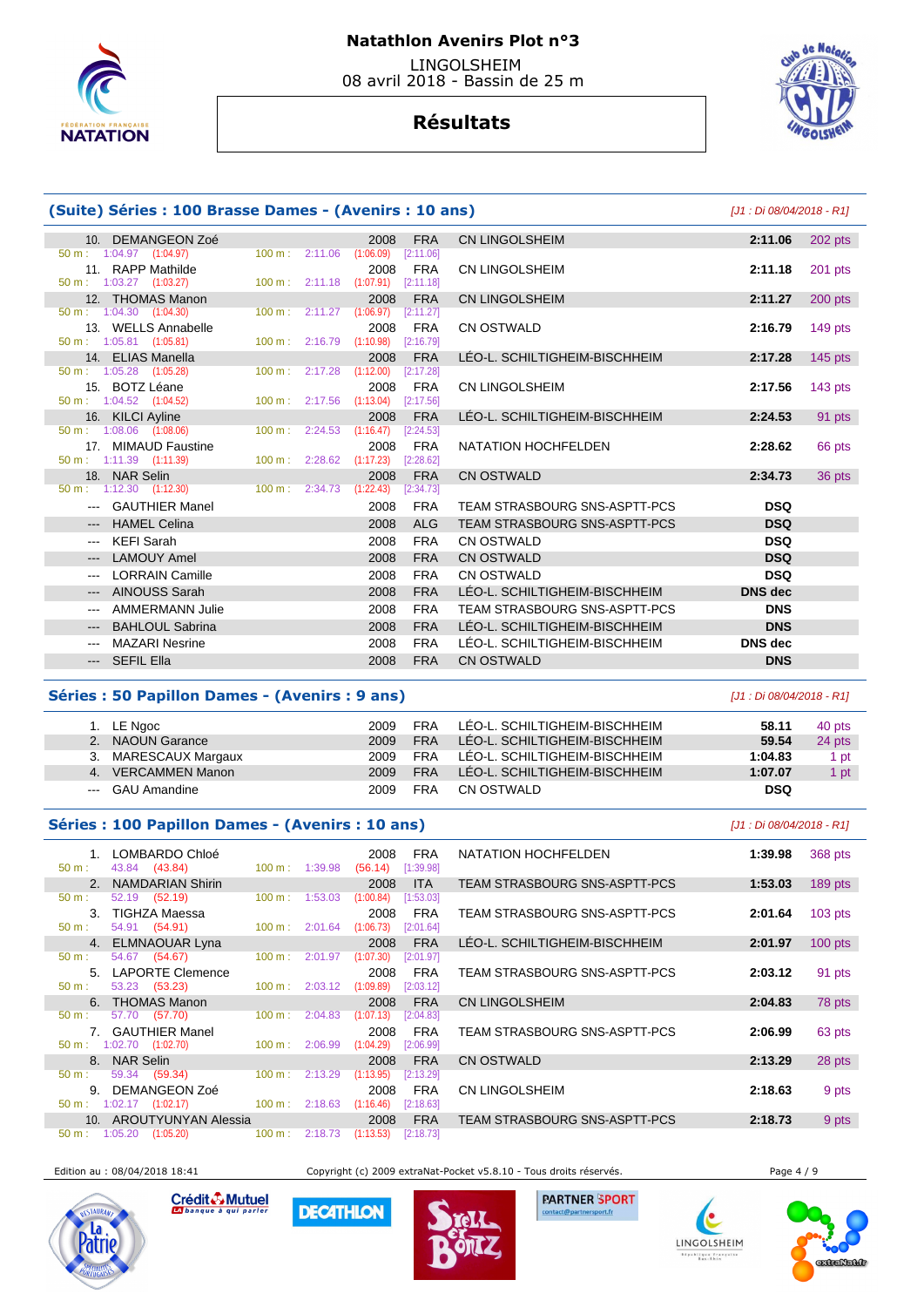

# **Résultats**

| (Suite) Séries : 100 Brasse Dames - (Avenirs : 10 ans) |                                                          |  |                                      |                                    |                         |                               | [J1 : Di 08/04/2018 - R1] |           |
|--------------------------------------------------------|----------------------------------------------------------|--|--------------------------------------|------------------------------------|-------------------------|-------------------------------|---------------------------|-----------|
|                                                        | 10. DEMANGEON Zoé                                        |  |                                      | 2008                               | <b>FRA</b>              | <b>CN LINGOLSHEIM</b>         | 2:11.06                   | 202 pts   |
|                                                        | $50 \text{ m}: 1:04.97$ $(1:04.97)$                      |  | $100 \text{ m}$ : 2:11.06            | (1:06.09)                          | [2:11.06]               |                               |                           |           |
|                                                        | 11. RAPP Mathilde                                        |  |                                      | 2008                               | FRA                     | CN LINGOLSHEIM                | 2:11.18                   | 201 pts   |
|                                                        | $50 \text{ m}: 1:03.27$ $(1:03.27)$                      |  | $100 \text{ m}: 2:11.18$ $(1:07.91)$ |                                    | [2:11.18]               |                               |                           |           |
|                                                        | 12. THOMAS Manon                                         |  |                                      | 2008                               | <b>FRA</b>              | <b>CN LINGOLSHEIM</b>         | 2:11.27                   | $200$ pts |
|                                                        | $50 \text{ m}$ : 1:04.30 $(1:04.30)$                     |  |                                      | 100 m: 2:11.27 (1:06.97) [2:11.27] |                         |                               |                           |           |
|                                                        | 13. WELLS Annabelle                                      |  |                                      | 2008                               | FRA                     | <b>CN OSTWALD</b>             | 2:16.79                   | 149 pts   |
|                                                        | $50 \text{ m}$ : 1:05.81 (1:05.81)                       |  | 100 m: 2:16.79                       | (1:10.98)                          | [2:16.79]               |                               |                           |           |
|                                                        | 14. ELIAS Manella<br>$50 \text{ m}: 1:05.28$ $(1:05.28)$ |  | 100 m: 2:17.28                       | 2008<br>(1:12.00)                  | <b>FRA</b><br>[2:17.28] | LEO-L. SCHILTIGHEIM-BISCHHEIM | 2:17.28                   | $145$ pts |
|                                                        | 15. BOTZ Léane                                           |  |                                      | 2008                               | FRA                     | <b>CN LINGOLSHEIM</b>         | 2:17.56                   | 143 $pts$ |
|                                                        | 50 m: 1:04.52 (1:04.52)                                  |  |                                      | 100 m: 2:17.56 (1:13.04) [2:17.56] |                         |                               |                           |           |
|                                                        | 16. KILCI Ayline                                         |  |                                      | 2008                               | <b>FRA</b>              | LÉO-L. SCHILTIGHEIM-BISCHHEIM | 2:24.53                   | 91 pts    |
|                                                        | $50 \text{ m}$ : 1:08.06 (1:08.06)                       |  | 100 m: 2:24.53                       | (1:16.47)                          | [2:24.53]               |                               |                           |           |
|                                                        | 17. MIMAUD Faustine                                      |  |                                      | 2008                               | <b>FRA</b>              | NATATION HOCHFELDEN           | 2:28.62                   | 66 pts    |
|                                                        | $50 \text{ m}: 1:11.39$ $(1:11.39)$                      |  | 100 m: 2:28.62                       | (1:17.23)                          | [2:28.62]               |                               |                           |           |
|                                                        | 18. NAR Selin                                            |  |                                      | 2008                               | <b>FRA</b>              | <b>CN OSTWALD</b>             | 2:34.73                   | 36 pts    |
|                                                        | $50 \text{ m}: 1:12.30 (1:12.30)$                        |  | 100 m : 2:34.73                      | (1:22.43)                          | [2:34.73]               |                               |                           |           |
|                                                        | --- GAUTHIER Manel                                       |  |                                      | 2008                               | <b>FRA</b>              | TEAM STRASBOURG SNS-ASPTT-PCS | <b>DSQ</b>                |           |
| $\qquad \qquad - -$                                    | <b>HAMEL Celina</b>                                      |  |                                      | 2008                               | <b>ALG</b>              | TEAM STRASBOURG SNS-ASPTT-PCS | <b>DSQ</b>                |           |
| $\qquad \qquad - -$                                    | <b>KEFI Sarah</b>                                        |  |                                      | 2008                               | <b>FRA</b>              | <b>CN OSTWALD</b>             | <b>DSQ</b>                |           |
| $\qquad \qquad - -$                                    | <b>LAMOUY Amel</b>                                       |  |                                      | 2008                               | <b>FRA</b>              | <b>CN OSTWALD</b>             | <b>DSQ</b>                |           |
| ---                                                    | <b>LORRAIN Camille</b>                                   |  |                                      | 2008                               | <b>FRA</b>              | <b>CN OSTWALD</b>             | <b>DSQ</b>                |           |
| $\qquad \qquad - -$                                    | <b>AINOUSS Sarah</b>                                     |  |                                      | 2008                               | <b>FRA</b>              | LÉO-L. SCHILTIGHEIM-BISCHHEIM | <b>DNS</b> dec            |           |
| $---$                                                  | <b>AMMERMANN Julie</b>                                   |  |                                      | 2008                               | <b>FRA</b>              | TEAM STRASBOURG SNS-ASPTT-PCS | <b>DNS</b>                |           |
| $\qquad \qquad - -$                                    | <b>BAHLOUL Sabrina</b>                                   |  |                                      | 2008                               | <b>FRA</b>              | LEO-L. SCHILTIGHEIM-BISCHHEIM | <b>DNS</b>                |           |
| ---                                                    | <b>MAZARI Nesrine</b>                                    |  |                                      | 2008                               | <b>FRA</b>              | LÉO-L. SCHILTIGHEIM-BISCHHEIM | <b>DNS</b> dec            |           |
|                                                        | --- SEFIL Ella                                           |  |                                      | 2008                               | <b>FRA</b>              | <b>CN OSTWALD</b>             | <b>DNS</b>                |           |

## **Séries : 50 Papillon Dames - (Avenirs : 9 ans)** [J1 : Di 08/04/2018 - R1]

| 1. LE Ngoc           | 2009 | <b>FRA</b> | LÉO-L. SCHILTIGHEIM-BISCHHEIM | 58.11      | 40 pts |
|----------------------|------|------------|-------------------------------|------------|--------|
| 2. NAOUN Garance     | 2009 | <b>FRA</b> | LÉO-L. SCHILTIGHEIM-BISCHHEIM | 59.54      | 24 pts |
| 3. MARESCAUX Margaux | 2009 | <b>FRA</b> | LÉO-L. SCHILTIGHEIM-BISCHHEIM | 1:04.83    | 1 pt   |
| 4. VERCAMMEN Manon   | 2009 | <b>FRA</b> | LÉO-L. SCHILTIGHEIM-BISCHHEIM | 1:07.07    | 1 pt   |
| --- GAU Amandine     | 2009 | <b>FRA</b> | CN OSTWALD                    | <b>DSQ</b> |        |

## **Séries : 100 Papillon Dames - (Avenirs : 10 ans)** [J1 : Di 08/04/2018 - R1]

|                                     |                       | 1. LOMBARDO Chloé                 |           |         | 2008      | <b>FRA</b> |  |
|-------------------------------------|-----------------------|-----------------------------------|-----------|---------|-----------|------------|--|
| $50 \text{ m}$ :                    |                       | 43.84 (43.84)                     | 100 m:    | 1:39.98 | (56.14)   | [1:39.98]  |  |
|                                     |                       | 2. NAMDARIAN Shirin               |           |         | 2008      | <b>ITA</b> |  |
| $50 \text{ m}$ :                    |                       | 52.19 (52.19)                     | 100 m:    | 1:53.03 | (1:00.84) | [1:53.03]  |  |
| 3.                                  |                       | TIGHZA Maessa                     |           |         | 2008      | <b>FRA</b> |  |
| $50 \text{ m}$ :                    |                       | 54.91 (54.91)                     | 100 m:    | 2:01.64 | (1:06.73) | [2:01.64]  |  |
|                                     |                       | 4. ELMNAOUAR Lyna                 |           |         |           | 2008 FRA   |  |
| 50 m:                               |                       | 54.67 (54.67)                     | $100 m$ : | 2:01.97 | (1:07.30) | [2:01.97]  |  |
|                                     |                       | 5. LAPORTE Clemence               |           |         | 2008      | <b>FRA</b> |  |
| 50 m:                               |                       | 53.23 (53.23)                     | 100 m:    | 2:03.12 | (1:09.89) | [2:03.12]  |  |
|                                     |                       | 6. THOMAS Manon                   |           |         | 2008      | <b>FRA</b> |  |
| 50 m:                               |                       | 57.70 (57.70)                     | 100 m:    | 2:04.83 | (1:07.13) | [2:04.83]  |  |
|                                     |                       | 7. GAUTHIER Manel                 |           |         | 2008      | <b>FRA</b> |  |
| $50 \text{ m}: 1:02.70$ $(1:02.70)$ |                       |                                   | 100 m:    | 2:06.99 | (1:04.29) | [2:06.99]  |  |
|                                     | 8. NAR Selin          |                                   |           |         | 2008      | <b>FRA</b> |  |
| 50 m:                               |                       | 59.34 (59.34)                     | 100 m:    | 2:13.29 | (1:13.95) | [2:13.29]  |  |
| 9.                                  |                       | DEMANGEON Zoé                     |           |         | 2008      | <b>FRA</b> |  |
| $50 \text{ m}$ :                    | $1:02.17$ $(1:02.17)$ |                                   | 100 m:    | 2:18.63 | (1:16.46) | [2:18.63]  |  |
|                                     |                       | 10. AROUTYUNYAN Alessia           |           |         | 2008      | <b>FRA</b> |  |
|                                     |                       | $50 \text{ m}: 1:05.20 (1:05.20)$ | 100 m:    | 2:18.73 | (1:13.53) | [2:18.73]  |  |
|                                     |                       |                                   |           |         |           |            |  |

|    | LOMBARDO Chloé          |                   |         | 2008      | <b>FRA</b> | NATATION HOCHFELDEN           | 1:39.98 | 368 pts   |
|----|-------------------------|-------------------|---------|-----------|------------|-------------------------------|---------|-----------|
|    | 43.84 (43.84)           | 100 m: 1:39.98    |         | (56.14)   | [1:39.98]  |                               |         |           |
| 2. | <b>NAMDARIAN Shirin</b> |                   |         | 2008      | <b>ITA</b> | TEAM STRASBOURG SNS-ASPTT-PCS | 1:53.03 | 189 pts   |
|    | 52.19 (52.19)           | 100 m:            | 1:53.03 | (1:00.84) | [1:53.03]  |                               |         |           |
| 3. | <b>TIGHZA Maessa</b>    |                   |         | 2008      | <b>FRA</b> | TEAM STRASBOURG SNS-ASPTT-PCS | 2:01.64 | $103$ pts |
|    | 54.91 (54.91)           | $100 \text{ m}$ : | 2:01.64 | (1:06.73) | [2:01.64]  |                               |         |           |
| 4. | <b>ELMNAOUAR Lyna</b>   |                   |         | 2008      | <b>FRA</b> | LEO-L. SCHILTIGHEIM-BISCHHEIM | 2:01.97 | $100$ pts |
|    | 54.67 (54.67)           | $100 \text{ m}$ : | 2:01.97 | (1:07.30) | [2:01.97]  |                               |         |           |
| 5. | <b>LAPORTE Clemence</b> |                   |         | 2008      | <b>FRA</b> | TEAM STRASBOURG SNS-ASPTT-PCS | 2:03.12 | 91 pts    |
|    | 53.23 (53.23)           | $100 \text{ m}$ : | 2:03.12 | (1:09.89) | [2:03.12]  |                               |         |           |
| 6. | <b>THOMAS Manon</b>     |                   |         | 2008      | <b>FRA</b> | <b>CN LINGOLSHEIM</b>         | 2:04.83 | 78 pts    |
|    | 57.70 (57.70)           | 100 m:            | 2:04.83 | (1:07.13) | [2:04.83]  |                               |         |           |
|    | <b>GAUTHIER Manel</b>   |                   |         | 2008      | <b>FRA</b> | TEAM STRASBOURG SNS-ASPTT-PCS | 2:06.99 | 63 pts    |
|    | $: 1:02.70$ $(1:02.70)$ | 100 m:            | 2:06.99 | (1:04.29) | [2:06.99]  |                               |         |           |
| 8. | <b>NAR Selin</b>        |                   |         | 2008      | <b>FRA</b> | <b>CN OSTWALD</b>             | 2:13.29 | 28 pts    |
|    | 59.34<br>(59.34)        | 100 m:            | 2:13.29 | (1:13.95) | [2:13.29]  |                               |         |           |
| 9. | <b>DEMANGEON Zoé</b>    |                   |         | 2008      | <b>FRA</b> | CN LINGOLSHEIM                | 2:18.63 | 9 pts     |
|    | $: 1:02.17$ $(1:02.17)$ | $100 \text{ m}$ : | 2:18.63 | (1:16.46) | [2:18.63]  |                               |         |           |
|    | 10. AROUTYUNYAN Alessia |                   |         | 2008      | <b>FRA</b> | TEAM STRASBOURG SNS-ASPTT-PCS | 2:18.73 | 9 pts     |

Edition au : 08/04/2018 18:41 Copyright (c) 2009 extraNat-Pocket v5.8.10 - Tous droits réservés. Page 4 / 9



Crédit & Mutuel

**DECATHLON** 



**PARTNER SPORT** 

(e

blique Fra<br>BarcRhin

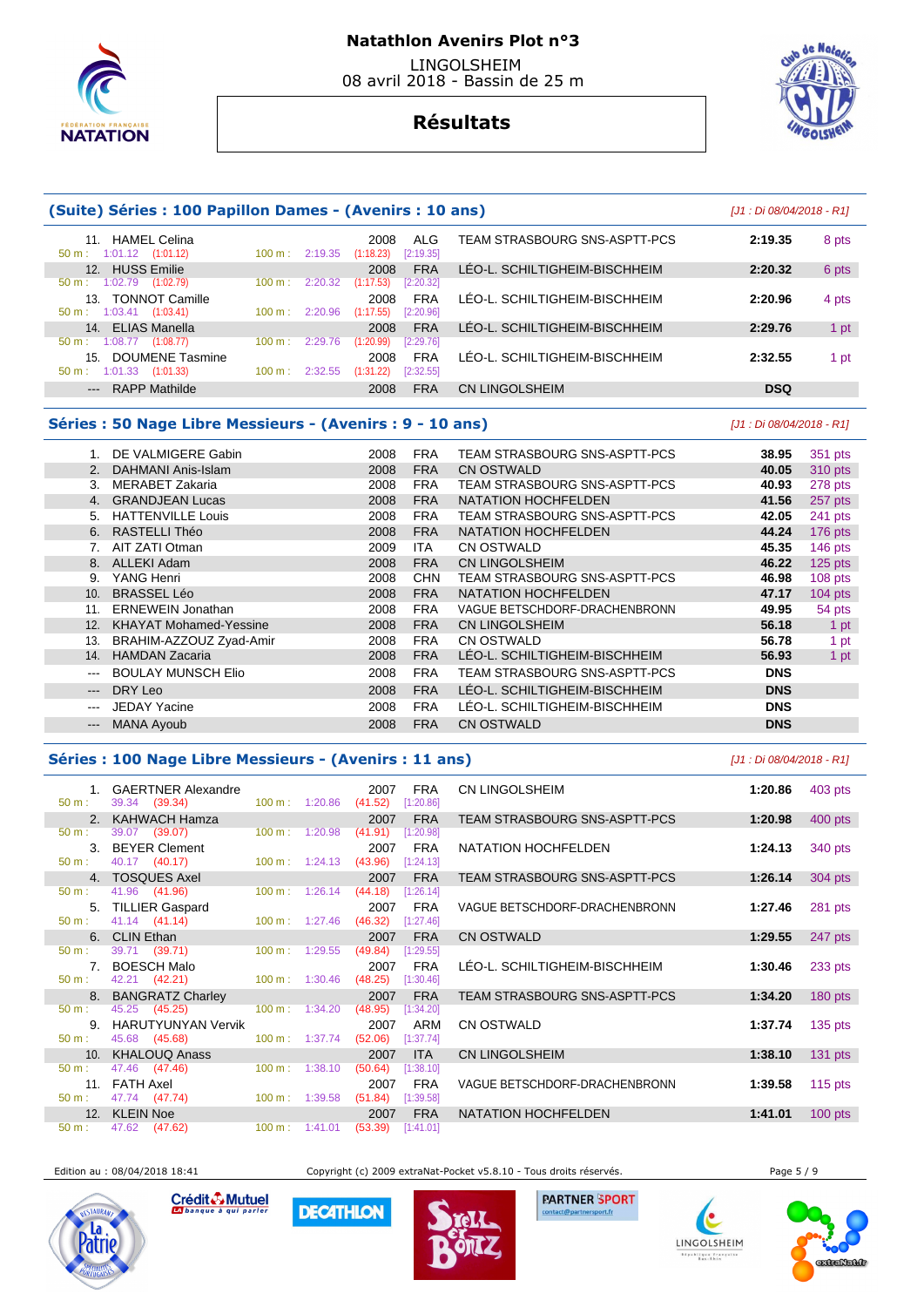

# **Résultats**



# **(Suite) Séries : 100 Papillon Dames - (Avenirs : 10 ans)** [J1 : Di 08/04/2018 - R1] 11. HAMEL Celina 2008 ALG TEAM STRASBOURG SNS-ASPTT-PCS **2:19.35** 8 pts  $1:01.12$   $(1:01.12)$  12. HUSS Emilie 2008 FRA LÉO-L. SCHILTIGHEIM-BISCHHEIM **2:20.32** 6 pts 50 m : 1:02.79 (1:02.79) 100 m : 2:20.32 (1:17.53) [2:20.32] 13. TONNOT Camille 2008 FRA LÉO-L. SCHILTIGHEIM-BISCHHEIM **2:20.96** 4 pts

| 13. TONNOT Camille                      |                           | 2008                    | <b>FRA</b> | LÉO-L. SCHILTIGHEIM-BISCHHEIM | 2:20.96    | 4 pts |
|-----------------------------------------|---------------------------|-------------------------|------------|-------------------------------|------------|-------|
| $50 \text{ m}: 1:03.41 \quad (1:03.41)$ | $100 \text{ m}: 2:20.96$  | $(1:17.55)$ $[2:20.96]$ |            |                               |            |       |
| 14. ELIAS Manella                       |                           | 2008                    | <b>FRA</b> | LÉO-L. SCHILTIGHEIM-BISCHHEIM | 2:29.76    | 1 pt  |
| $50 \text{ m}: 1:08.77$ (1:08.77)       | $100 \text{ m}$ : 2:29.76 | $(1:20.99)$ $[2:29.76]$ |            |                               |            |       |
| 15. DOUMENE Tasmine                     |                           | 2008                    | <b>FRA</b> | LÉO-L. SCHILTIGHEIM-BISCHHEIM | 2:32.55    | 1 pt  |
| $50 \text{ m}$ : 1:01.33 (1:01.33)      | $100 \text{ m}: 2:32.55$  | $(1:31.22)$ $[2:32.55]$ |            |                               |            |       |
| --- RAPP Mathilde                       |                           | 2008                    | <b>FRA</b> | <b>CN LINGOLSHEIM</b>         | <b>DSQ</b> |       |

## **Séries : 50 Nage Libre Messieurs - (Avenirs : 9 - 10 ans)** [J1 : Di 08/04/2018 - R1]

|                           | DE VALMIGERE Gabin            | 2008 | <b>FRA</b> | TEAM STRASBOURG SNS-ASPTT-PCS | 38.95      | 351 pts   |
|---------------------------|-------------------------------|------|------------|-------------------------------|------------|-----------|
| 2.                        | DAHMANI Anis-Islam            | 2008 | <b>FRA</b> | <b>CN OSTWALD</b>             | 40.05      | 310 pts   |
| 3.                        | <b>MERABET Zakaria</b>        | 2008 | <b>FRA</b> | TEAM STRASBOURG SNS-ASPTT-PCS | 40.93      | 278 pts   |
| 4.                        | <b>GRANDJEAN Lucas</b>        | 2008 | <b>FRA</b> | <b>NATATION HOCHFELDEN</b>    | 41.56      | 257 pts   |
| 5.                        | <b>HATTENVILLE Louis</b>      | 2008 | <b>FRA</b> | TEAM STRASBOURG SNS-ASPTT-PCS | 42.05      | 241 pts   |
| 6.                        | RASTELLI Théo                 | 2008 | <b>FRA</b> | NATATION HOCHFELDEN           | 44.24      | 176 pts   |
|                           | AIT ZATI Otman                | 2009 | <b>ITA</b> | <b>CN OSTWALD</b>             | 45.35      | 146 pts   |
| 8.                        | <b>ALLEKI Adam</b>            | 2008 | <b>FRA</b> | <b>CN LINGOLSHEIM</b>         | 46.22      | $125$ pts |
| 9.                        | YANG Henri                    | 2008 | <b>CHN</b> | TEAM STRASBOURG SNS-ASPTT-PCS | 46.98      | 108 pts   |
| 10.                       | <b>BRASSEL Léo</b>            | 2008 | <b>FRA</b> | <b>NATATION HOCHFELDEN</b>    | 47.17      | $104$ pts |
| 11.                       | <b>ERNEWEIN Jonathan</b>      | 2008 | <b>FRA</b> | VAGUE BETSCHDORF-DRACHENBRONN | 49.95      | 54 pts    |
| 12.                       | <b>KHAYAT Mohamed-Yessine</b> | 2008 | <b>FRA</b> | <b>CN LINGOLSHEIM</b>         | 56.18      | 1 pt      |
| 13.                       | BRAHIM-AZZOUZ Zyad-Amir       | 2008 | <b>FRA</b> | <b>CN OSTWALD</b>             | 56.78      | 1 pt      |
| 14.                       | <b>HAMDAN Zacaria</b>         | 2008 | <b>FRA</b> | LÉO-L. SCHILTIGHEIM-BISCHHEIM | 56.93      | 1 pt      |
| $\qquad \qquad \cdots$    | <b>BOULAY MUNSCH Elio</b>     | 2008 | <b>FRA</b> | TEAM STRASBOURG SNS-ASPTT-PCS | <b>DNS</b> |           |
| $---$                     | DRY Leo                       | 2008 | <b>FRA</b> | LÉO-L. SCHILTIGHEIM-BISCHHEIM | <b>DNS</b> |           |
| $\qquad \qquad -$         | <b>JEDAY Yacine</b>           | 2008 | <b>FRA</b> | LÉO-L. SCHILTIGHEIM-BISCHHEIM | <b>DNS</b> |           |
| $\qquad \qquad -\qquad -$ | <b>MANA Ayoub</b>             | 2008 | <b>FRA</b> | <b>CN OSTWALD</b>             | <b>DNS</b> |           |
|                           |                               |      |            |                               |            |           |

## **Séries : 100 Nage Libre Messieurs - (Avenirs : 11 ans)** [J1 : Di 08/04/2018 - R1]

1. GAERTNER Alexandre 2007 FRA **50 m**: 39.34 (39.34) **1:20.86 1:20.86 41.52 1:20.86** 39.34 (39.34) 2. KAHWACH Hamza 2007 FRA<br>  $\frac{2007}{50 \text{ m}}$ : 39.07 (39.07) 100 m: 1:20.98 (41.91) [1:20.98] 50 m : 39.07 (39.07) 100 m : 1:20.98 (41.91) [1:20.98] **3. BEYER Clement 2007 FRA**<br>50 m : 40.17 (40.17) 100 m : 1:24.13 (43.96) [1:24.13] 40.17 (40.17) 4. TOSQUES Axel 2007 FRA<br>
50 m : 41.96 (41.96) 100 m : 1:26.14 (44.18) [1:26.14] 41.96 (41.96) **5. TILLIER Gaspard** 2007 FRA<br>50 m : 41.14 (41.14) 100 m : 1:27.46 (46.32) 11:27.46 50 m : 41.14 (41.14) 100 m : 1:27.46 (46.32) [1:27.46] **6. CLIN Ethan** 2007 FRA<br> **100 m**: 1:29.55 **(49.84)** [1:29.55] **1:29.55**  50 m : 39.71 (39.71) 100 m : 1:29.55 (49.84) [1:29.55] 7. BOESCH Malo 2007 FRA<br>
50 m : 42.21 (42.21) 100 m : 1:30.46 (48.25) [1:30.46] 42.21 (42.21) 8. BANGRATZ Charley 2007 FRA<br>  $50 \text{ m}:$  45.25 (45.25) 100 m: 1:34.20 (48.95) [1:34.20] 45.25 (45.25) 100 m : 1:34.20 (48.95) [1:34.20 9. HARUTYUNYAN Vervik **19. 12007 PRM**  50 m : 45.68 (45.68) 100 m : 1:37.74 (52.06) [1:37.74] 10. KHALOUQ Anass 2007 ITA<br>  $\frac{50 \text{ m}}{200 \text{ m}}$  100 m 1:38.10 **(50.64)** [1:38.10] 47.46 (47.46) 11. FATH Axel 2007 FRA 2007 FRA<br>  $\frac{50 \text{ m}: 47.74 \quad (47.74)}{49.58}$  100 m: 1:39.58 **(51.84)** [1:39.58]  $(47.74)$ 12. KLEIN Noe 2007 FRA<br>
50 m : 47.62 (47.62) 100 m : 1:41.01 (53.39) [1:41.01]  $[1:41.01]$ 

| CN LINGOLSHEIM                | 1:20.86 | 403 pts   |
|-------------------------------|---------|-----------|
| TEAM STRASBOURG SNS-ASPTT-PCS | 1:20.98 | 400 pts   |
| NATATION HOCHFELDEN           | 1:24.13 | 340 pts   |
| TEAM STRASBOURG SNS-ASPTT-PCS | 1:26.14 | 304 pts   |
| VAGUE BETSCHDORF-DRACHENBRONN | 1:27.46 | 281 pts   |
| <b>CN OSTWALD</b>             | 1:29.55 | 247 pts   |
| LÉO-L. SCHILTIGHEIM-BISCHHEIM | 1:30.46 | 233 pts   |
| TEAM STRASBOURG SNS-ASPTT-PCS | 1:34.20 | 180 pts   |
| CN OSTWALD                    | 1:37.74 | 135 pts   |
| <b>CN LINGOLSHEIM</b>         | 1:38.10 | 131 pts   |
| VAGUE BETSCHDORF-DRACHENBRONN | 1:39.58 | 115 $pts$ |
| <b>NATATION HOCHFELDEN</b>    | 1:41.01 | $100$ pts |

Edition au : 08/04/2018 18:41 Copyright (c) 2009 extraNat-Pocket v5.8.10 - Tous droits réservés. Page 5 / 9



Crédit & Mutuel

**DECATHLON** 



**PARTNER SPORT** 

LINGOLSHEIM blique Fra<br>Bar-Rhin



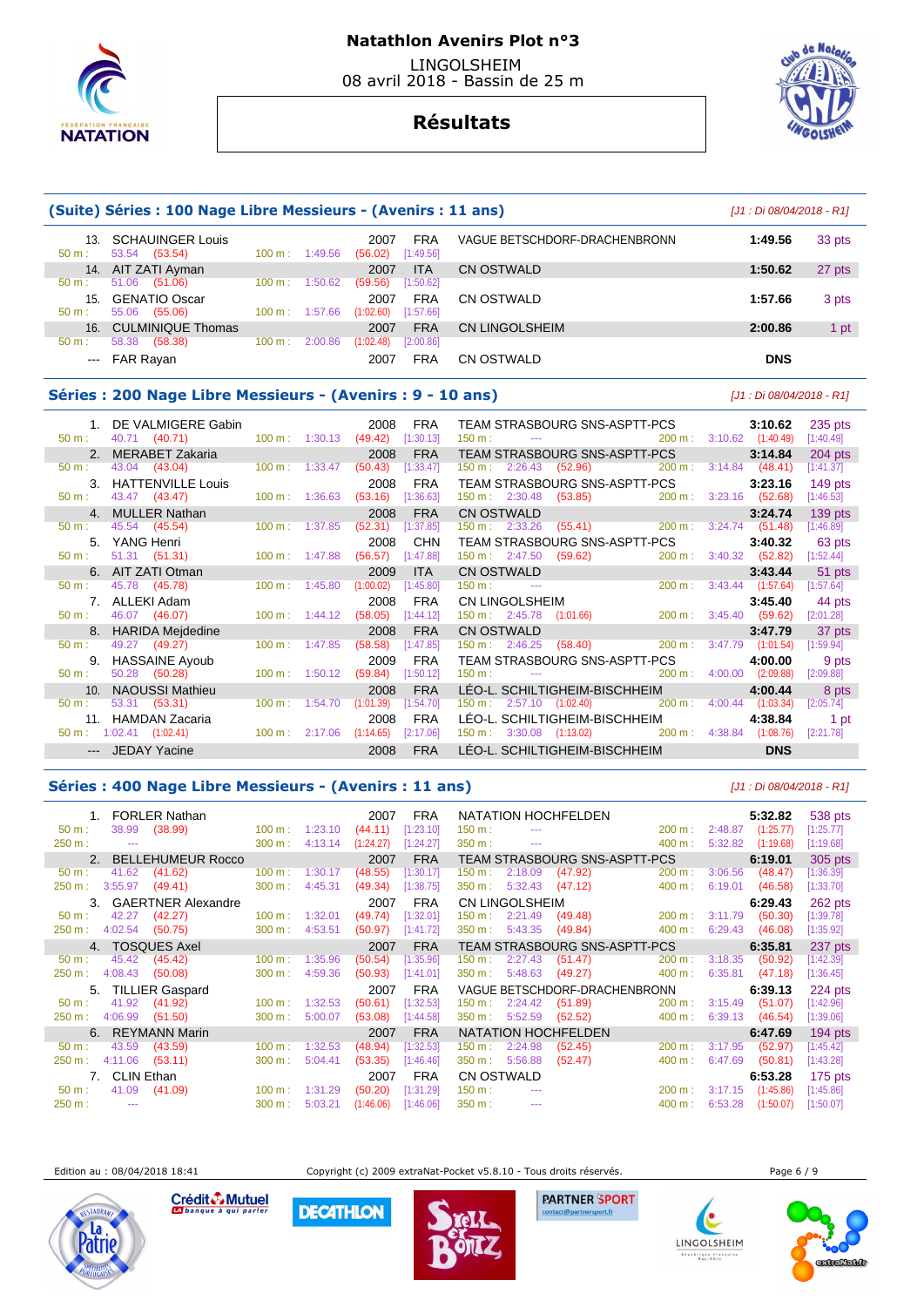

# **Natathlon Avenirs Plot n°3**

 LINGOLSHEIM 08 avril 2018 - Bassin de 25 m

# **Résultats**

|                 | (Suite) Séries : 100 Nage Libre Messieurs - (Avenirs : 11 ans) |                   |                           |                   |                         |                               |            |        |  |  |  |
|-----------------|----------------------------------------------------------------|-------------------|---------------------------|-------------------|-------------------------|-------------------------------|------------|--------|--|--|--|
| 13.<br>$50 m$ : | <b>SCHAUINGER Louis</b><br>(53.54)<br>53.54                    | $100 \text{ m}$ : | 1:49.56                   | 2007<br>(56.02)   | <b>FRA</b><br>[1:49.56] | VAGUE BETSCHDORF-DRACHENBRONN | 1:49.56    | 33 pts |  |  |  |
| 14.             | AIT ZATI Ayman                                                 |                   |                           | 2007              | <b>ITA</b>              | CN OSTWALD                    | 1:50.62    | 27 pts |  |  |  |
| $50 m$ :        | 51.06<br>(51.06)                                               | 100 m:            | 1:50.62                   | (59.56)           | [1:50.62]               |                               |            |        |  |  |  |
| 15.<br>$50 m$ : | <b>GENATIO Oscar</b><br>55.06<br>(55.06)                       |                   | $100 \text{ m}$ : 1:57.66 | 2007<br>(1:02.60) | <b>FRA</b><br>[1:57.66] | CN OSTWALD                    | 1:57.66    | 3 pts  |  |  |  |
| 16.             | <b>CULMINIQUE Thomas</b>                                       |                   |                           | 2007              | <b>FRA</b>              | CN LINGOLSHEIM                | 2:00.86    | 1 pt   |  |  |  |
| 50 m:           | 58.38<br>(58.38)                                               | 100 m:            | 2:00.86                   | (1:02.48)         | [2:00.86]               |                               |            |        |  |  |  |
| $- - -$         | <b>FAR Rayan</b>                                               |                   |                           | 2007              | <b>FRA</b>              | CN OSTWALD                    | <b>DNS</b> |        |  |  |  |

#### **Séries : 200 Nage Libre Messieurs - (Avenirs : 9 - 10 ans)** [J1 : Di 08/04/2018 - R1]

| 1. DE VALMIGERE Gabin                     |                           | 2008      | FRA        | TEAM STRASBOURG SNS-ASPTT-PCS                                                                                                                                                                                                                                                                                               | 3:10.62<br>235 pts                    |  |
|-------------------------------------------|---------------------------|-----------|------------|-----------------------------------------------------------------------------------------------------------------------------------------------------------------------------------------------------------------------------------------------------------------------------------------------------------------------------|---------------------------------------|--|
| 40.71 (40.71)<br>$50 \text{ m}$ :         | $100 \text{ m}: 1:30.13$  | (49.42)   | [1:30.13]  | $150 \text{ m}$ : $150 \text{ m}$                                                                                                                                                                                                                                                                                           | 200 m: 3:10.62 (1:40.49)<br>[1:40.49] |  |
| 2. MERABET Zakaria                        |                           | 2008      | <b>FRA</b> | TEAM STRASBOURG SNS-ASPTT-PCS                                                                                                                                                                                                                                                                                               | 3:14.84<br>$204$ pts                  |  |
| 43.04 (43.04)<br>$50 \text{ m}$ :         | 100 m: 1:33.47            | (50.43)   | [1:33.47]  | $150 \text{ m}: \quad 2:26.43 \quad (52.96) \quad 200 \text{ m}:$                                                                                                                                                                                                                                                           | 3:14.84<br>(48.41)<br>[1:41.37]       |  |
| 3. HATTENVILLE Louis                      |                           | 2008      | <b>FRA</b> | TEAM STRASBOURG SNS-ASPTT-PCS                                                                                                                                                                                                                                                                                               | $149$ pts<br>3:23.16                  |  |
| 43.47 (43.47)<br>50 m:                    | $100 \text{ m}$ : 1:36.63 | (53.16)   | [1:36.63]  | $150 \text{ m}: \quad 2:30.48 \quad (53.85) \quad 200 \text{ m}:$                                                                                                                                                                                                                                                           | $3:23.16$ (52.68)<br>[1:46.53]        |  |
| 4. MULLER Nathan                          |                           | 2008      | <b>FRA</b> | CN OSTWALD 3:24.74<br>150 m : 2:33.26 (55.41) 200 m : 3:24.74 (51.48)                                                                                                                                                                                                                                                       | $139$ pts                             |  |
| 45.54 (45.54)<br>$50 \text{ m}$ :         | 100 m: 1:37.85            | (52.31)   | [1:37.85]  |                                                                                                                                                                                                                                                                                                                             | [1:46.89]                             |  |
| 5. YANG Henri                             |                           | 2008      | <b>CHN</b> | TEAM STRASBOURG SNS-ASPTT-PCS                                                                                                                                                                                                                                                                                               | 3:40.32<br>63 pts                     |  |
| 51.31 (51.31) 100 m: 1:47.88<br>50 m:     |                           | (56.57)   | [1:47.88]  | 150 m : 2:47.50 (59.62)<br>200 m:                                                                                                                                                                                                                                                                                           | $3:40.32$ (52.82)<br>[1:52.44]        |  |
| 6. AIT ZATI Otman                         |                           | 2009      | <b>ITA</b> |                                                                                                                                                                                                                                                                                                                             | 3:43.44<br>51 pts                     |  |
| 45.78 (45.78)<br>50 m:                    | 100 m: 1:45.80            | (1:00.02) | [1:45.80]  | CN OSTWALD<br>150 m : 200 m : 200 m :                                                                                                                                                                                                                                                                                       | 200 m: 3:43.44 (1:57.64)<br>[1:57.64] |  |
| 7. ALLEKI Adam                            |                           | 2008      | <b>FRA</b> | CN LINGOLSHEIM                                                                                                                                                                                                                                                                                                              | 3:45.40<br>44 pts                     |  |
| 46.07 (46.07)<br>50 m:                    | $100 \text{ m}$ : 1:44.12 | (58.05)   | [1:44.12]  | 150 m : 2:45.78 (1:01.66) 200 m : 3:45.40 (59.62)                                                                                                                                                                                                                                                                           | [2:01.28]                             |  |
| 8. HARIDA Mejdedine                       |                           | 2008      | <b>FRA</b> | CN OSTWALD                                                                                                                                                                                                                                                                                                                  | 3:47.79<br>37 pts                     |  |
| 49.27 (49.27)<br>$50 m$ :                 | $100 \text{ m}$ : 1:47.85 | (58.58)   | [1:47.85]  | $150 \text{ m}:$ 2:46.25 (58.40) 200 m : 3:47.79                                                                                                                                                                                                                                                                            | (1:01.54)<br>[1:59.94]                |  |
| 9. HASSAINE Ayoub                         |                           | 2009      | <b>FRA</b> | TEAM STRASBOURG SNS-ASPTT-PCS                                                                                                                                                                                                                                                                                               | 4:00.00<br>9 pts                      |  |
| 50.28 (50.28)<br>$50 \text{ m}$ :         | $100 \text{ m}$ : 1:50.12 | (59.84)   | [1:50.12]  | $150 \text{ m}$ : $150 \text{ m}$ : $150 \text{ m}$ : $150 \text{ m}$ : $150 \text{ m}$ : $150 \text{ m}$ : $150 \text{ m}$ : $150 \text{ m}$ : $150 \text{ m}$ : $150 \text{ m}$ : $150 \text{ m}$ : $150 \text{ m}$ : $150 \text{ m}$ : $150 \text{ m}$ : $150 \text{ m}$ : $150 \text{ m}$ : $150 \text{ m}$ :<br>200 m: | 4:00.00<br>(2:09.88)<br>[2:09.88]     |  |
| <b>NAOUSSI Mathieu</b><br>10 <sub>1</sub> |                           | 2008      | <b>FRA</b> | LÉO-L. SCHILTIGHEIM-BISCHHEIM                                                                                                                                                                                                                                                                                               | 4:00.44<br>8 pts                      |  |
| 53.31 (53.31)<br>50 m:                    | $100 \text{ m}$ : 1:54.70 | (1:01.39) | [1:54.70]  | $150 \text{ m}: \quad 2:57.10 \quad (1:02.40) \quad 200 \text{ m}:$                                                                                                                                                                                                                                                         | 4:00.44<br>(1:03.34)<br>[2:05.74]     |  |
| 11. HAMDAN Zacaria                        |                           | 2008      | <b>FRA</b> | LÉO-L. SCHILTIGHEIM-BISCHHEIM                                                                                                                                                                                                                                                                                               | 4:38.84<br>1 pt                       |  |
| $50 \text{ m}: 1:02.41$ (1:02.41)         | $100 \text{ m}$ : 2:17.06 | (1:14.65) | [2:17.06]  | 150 m : 3:30.08 (1:13.02) 200 m : 4:38.84                                                                                                                                                                                                                                                                                   | [2:21.78]<br>(1:08.76)                |  |
| --- JEDAY Yacine                          |                           | 2008      | <b>FRA</b> | LÉO-L. SCHILTIGHEIM-BISCHHEIM                                                                                                                                                                                                                                                                                               | <b>DNS</b>                            |  |

### **Séries : 400 Nage Libre Messieurs - (Avenirs : 11 ans)** [J1 : Di 08/04/2018 - R1]

| 1. FORLER Nathan               |                              | <b>FRA</b><br>2007     | NATATION HOCHFELDEN                                                                                                                                                                                                                                                                                                                                                                                                                                                                     |                   | 5:32.82   | 538 pts   |
|--------------------------------|------------------------------|------------------------|-----------------------------------------------------------------------------------------------------------------------------------------------------------------------------------------------------------------------------------------------------------------------------------------------------------------------------------------------------------------------------------------------------------------------------------------------------------------------------------------|-------------------|-----------|-----------|
| (38.99)<br>38.99<br>50 m:      | $100 \text{ m}$ :<br>1:23.10 | [1:23.10]<br>(44.11)   | 150 m:<br>$\frac{1}{2}$                                                                                                                                                                                                                                                                                                                                                                                                                                                                 | 2:48.87<br>200 m: | (1:25.77) | [1:25.77] |
| 250 m:<br>$\sim$               | 300 m:<br>4:13.14            | (1:24.27)<br>[1:24.27] | 350 m:<br>$\sim$ $\sim$                                                                                                                                                                                                                                                                                                                                                                                                                                                                 | 400 m:<br>5:32.82 | (1:19.68) | [1:19.68] |
| <b>BELLEHUMEUR Rocco</b><br>2. |                              | <b>FRA</b><br>2007     | TEAM STRASBOURG SNS-ASPTT-PCS                                                                                                                                                                                                                                                                                                                                                                                                                                                           |                   | 6:19.01   | 305 pts   |
| 41.62<br>(41.62)<br>$50 m$ :   | 100 m:<br>1:30.17            | (48.55)<br>[1:30.17]   | 2:18.09<br>$150 \text{ m}$ :<br>(47.92)                                                                                                                                                                                                                                                                                                                                                                                                                                                 | 200 m:<br>3:06.56 | (48.47)   | [1:36.39] |
| 3:55.97<br>(49.41)<br>250 m:   | 4:45.31<br>300 m:            | (49.34)<br>[1:38.75]   | 5:32.43<br>$350 \text{ m}$ :<br>(47.12)                                                                                                                                                                                                                                                                                                                                                                                                                                                 | 400 m:<br>6:19.01 | (46.58)   | [1:33.70] |
| <b>GAERTNER Alexandre</b>      |                              | <b>FRA</b><br>2007     | CN LINGOLSHEIM                                                                                                                                                                                                                                                                                                                                                                                                                                                                          |                   | 6:29.43   | 262 pts   |
| 42.27<br>(42.27)<br>$50 m$ :   | 1:32.01<br>$100 \text{ m}$ : | (49.74)<br>[1:32.01]   | $150 \text{ m}: 2:21.49$<br>(49.48)                                                                                                                                                                                                                                                                                                                                                                                                                                                     | 200 m:<br>3:11.79 | (50.30)   | [1:39.78] |
| 4:02.54<br>(50.75)<br>250 m:   | 300 m:<br>4:53.51            | (50.97)<br>[1:41.72]   | 5:43.35<br>350 m:<br>(49.84)                                                                                                                                                                                                                                                                                                                                                                                                                                                            | 400 m:<br>6:29.43 | (46.08)   | [1:35.92] |
| 4. TOSQUES Axel                |                              | <b>FRA</b><br>2007     | TEAM STRASBOURG SNS-ASPTT-PCS                                                                                                                                                                                                                                                                                                                                                                                                                                                           |                   | 6:35.81   | 237 pts   |
| 45.42<br>(45.42)<br>$50 m$ :   | 100 m:<br>1:35.96            | (50.54)<br>[1:35.96]   | $150 \text{ m}$ :<br>2:27.43<br>(51.47)                                                                                                                                                                                                                                                                                                                                                                                                                                                 | 200 m:<br>3:18.35 | (50.92)   | [1:42.39] |
| 4:08.43<br>(50.08)<br>250 m:   | 4:59.36<br>$300 \text{ m}$ : | (50.93)<br>[1:41.01]   | 5:48.63<br>350 m:<br>(49.27)                                                                                                                                                                                                                                                                                                                                                                                                                                                            | 400 m:<br>6:35.81 | (47.18)   | [1:36.45] |
| <b>TILLIER Gaspard</b><br>5.   |                              | <b>FRA</b><br>2007     | VAGUE BETSCHDORF-DRACHENBRONN                                                                                                                                                                                                                                                                                                                                                                                                                                                           |                   | 6:39.13   | 224 pts   |
| 41.92<br>(41.92)<br>$50 m$ :   | 100 m:<br>1:32.53            | (50.61)<br>[1:32.53]   | 2:24.42<br>(51.89)<br>$150 \text{ m}$ :                                                                                                                                                                                                                                                                                                                                                                                                                                                 | 200 m:<br>3:15.49 | (51.07)   | [1:42.96] |
| 4:06.99<br>250 m:<br>(51.50)   | 5:00.07<br>300 m:            | (53.08)<br>[1:44.58]   | $350 \text{ m}$ :<br>5:52.59<br>(52.52)                                                                                                                                                                                                                                                                                                                                                                                                                                                 | 400 m:<br>6:39.13 | (46.54)   | [1:39.06] |
| <b>REYMANN Marin</b><br>6.     |                              | <b>FRA</b><br>2007     | NATATION HOCHFELDEN                                                                                                                                                                                                                                                                                                                                                                                                                                                                     |                   | 6:47.69   | $194$ pts |
| 43.59<br>(43.59)<br>50 m:      | 1:32.53<br>100 m:            | (48.94)<br>[1:32.53]   | 2:24.98<br>(52.45)<br>150 m:                                                                                                                                                                                                                                                                                                                                                                                                                                                            | 3:17.95<br>200 m: | (52.97)   | [1:45.42] |
| 4:11.06<br>250 m:<br>(53.11)   | 5:04.41<br>300 m:            | (53.35)<br>[1:46.46]   | 5:56.88<br>350 m:<br>(52.47)                                                                                                                                                                                                                                                                                                                                                                                                                                                            | 6:47.69<br>400 m: | (50.81)   | [1:43.28] |
| 7. CLIN Ethan                  |                              | <b>FRA</b><br>2007     | CN OSTWALD                                                                                                                                                                                                                                                                                                                                                                                                                                                                              |                   | 6:53.28   | $175$ pts |
| 41.09<br>(41.09)<br>$50 m$ :   | 100 m:<br>1:31.29            | (50.20)<br>[1:31.29]   | $150 m$ :<br>$\frac{1}{2} \left( \frac{1}{2} \right) \left( \frac{1}{2} \right) \left( \frac{1}{2} \right) \left( \frac{1}{2} \right) \left( \frac{1}{2} \right) \left( \frac{1}{2} \right) \left( \frac{1}{2} \right) \left( \frac{1}{2} \right) \left( \frac{1}{2} \right) \left( \frac{1}{2} \right) \left( \frac{1}{2} \right) \left( \frac{1}{2} \right) \left( \frac{1}{2} \right) \left( \frac{1}{2} \right) \left( \frac{1}{2} \right) \left( \frac{1}{2} \right) \left( \frac$ | 3:17.15<br>200 m: | (1:45.86) | [1:45.86] |
| 250 m:<br>$\sim$ $\sim$        | 300 m:<br>5:03.21            | (1:46.06)<br>[1:46.06] | 350 m:<br>$\sim$ $\sim$ $\sim$                                                                                                                                                                                                                                                                                                                                                                                                                                                          | 6:53.28<br>400 m: | (1:50.07) | [1:50.07] |

Edition au : 08/04/2018 18:41 Copyright (c) 2009 extraNat-Pocket v5.8.10 - Tous droits réservés. Page 6 / 9



Crédit & Mutuel

**DECATHLON** 



**PARTNER SPORT** 

(e LINGOLSHEIM blique Fra<br>Bar-Rhin

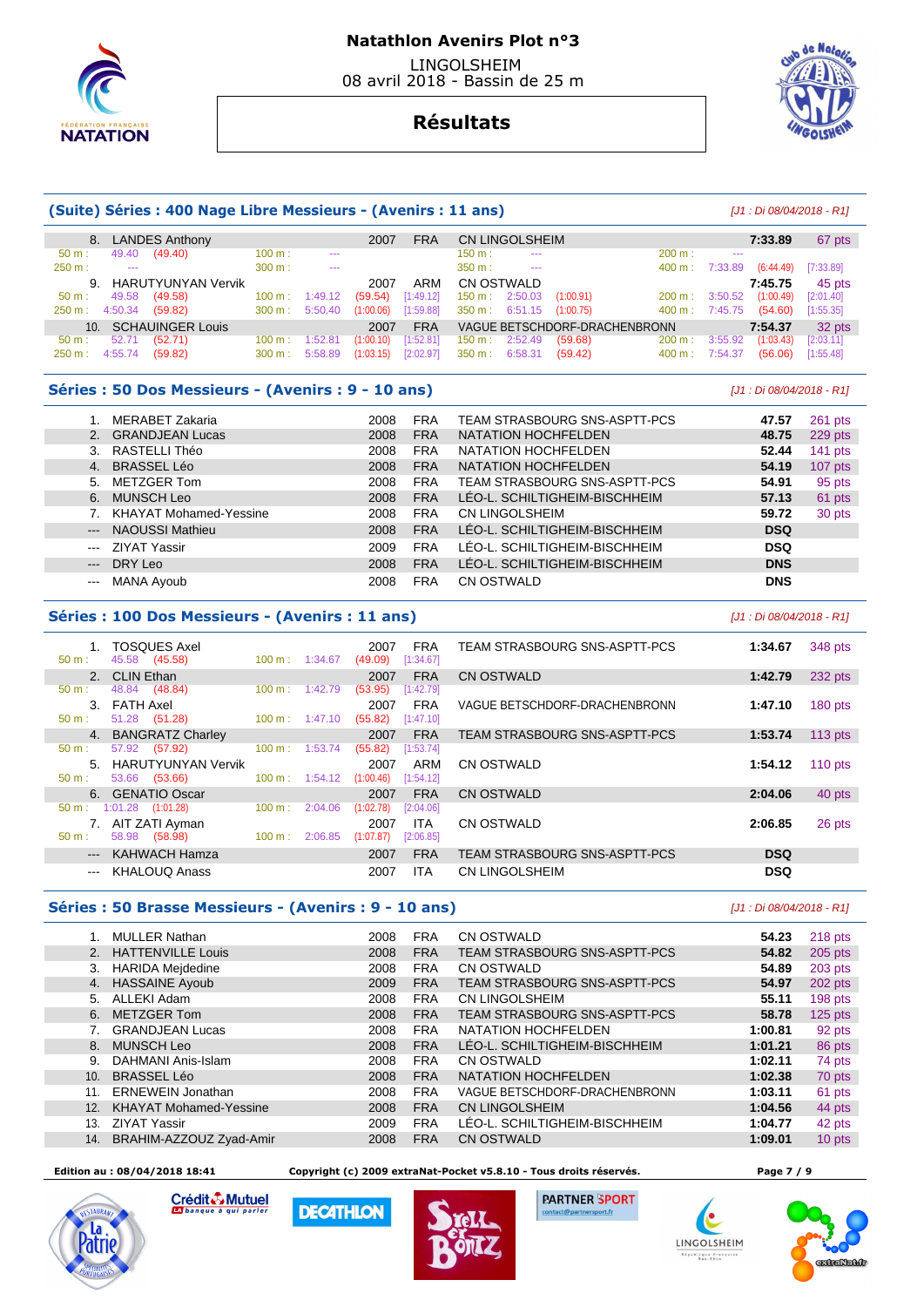

# **Résultats**

## **(Suite) Séries : 400 Nage Libre Messieurs - (Avenirs : 11 ans)** [J1 : Di 08/04/2018 - R1]

|                  |                      | 8. LANDES Anthony     |                   |               | 2007       | <b>FRA</b> |                          | CN LINGOLSHEIM       |                               |                   |         | 7:33.89   | 67 pts    |
|------------------|----------------------|-----------------------|-------------------|---------------|------------|------------|--------------------------|----------------------|-------------------------------|-------------------|---------|-----------|-----------|
| 50 m:            | 49.40                | (49.40)               | 100 m:            | $\sim$ $\sim$ |            |            | $150 \text{ m}$ :        | $\sim$ $\sim$ $\sim$ |                               | 200 m:            | 1000    |           |           |
| 250 m:           | $\sim$               |                       | 300 m:            | $\sim$ $\sim$ |            |            | $350 m$ :                | $-$                  |                               | 400 m:            | 7:33.89 | (6:44.49) | [7:33.89] |
|                  |                      | 9. HARUTYUNYAN Vervik |                   |               | 2007       | ARM        | CN OSTWALD               |                      |                               |                   |         | 7:45.75   | 45 pts    |
| $50 \text{ m}$ : | 49.58                | (49.58)               | $100 \text{ m}$ : | 1:49.12       | (59.54)    | [1:49.12]  | $150 \text{ m}: 2:50.03$ |                      | (1:00.91)                     | $200 \text{ m}$ : | 3:50.52 | (1:00.49) | [2:01.40] |
| 250 m:           | 4:50.34              | (59.82)               | 300 m :           | 5:50.40       | (1:00.06)  | [1:59.88]  | $350 \text{ m}: 6:51.15$ |                      | (1:00.75)                     | 400 m :           | 7:45.75 | (54.60)   | [1:55.35] |
|                  | 10. SCHAUINGER Louis |                       |                   | 2007          | <b>FRA</b> |            |                          |                      | VAGUE BETSCHDORF-DRACHENBRONN |                   | 7:54.37 | 32 pts    |           |
| 50 m:            | 52.71                | (52.71)               | $100 \text{ m}$ : | 1:52.81       | (1:00.10)  | [1:52.81]  | $150 \text{ m}: 2:52.49$ |                      | (59.68)                       | 200 m:            | 3:55.92 | (1:03.43) | [2:03.11] |
| 250 m:           | 4:55.74              | (59.82)               | $300 \text{ m}$ : | 5:58.89       | (1:03.15)  | [2:02.97]  | $350 \text{ m}$ :        | 6:58.31              | (59.42)                       | $400 \text{ m}$ : | 7:54.37 | (56.06)   | [1:55.48] |

#### **Séries : 50 Dos Messieurs - (Avenirs : 9 - 10 ans)** [J1 : Di 08/04/2018 - R1]

|                     | MERABET Zakaria           | 2008 | <b>FRA</b> | TEAM STRASBOURG SNS-ASPTT-PCS | 47.57      | 261 pts   |
|---------------------|---------------------------|------|------------|-------------------------------|------------|-----------|
|                     | 2. GRANDJEAN Lucas        | 2008 | <b>FRA</b> | NATATION HOCHFELDEN           | 48.75      | 229 pts   |
|                     | 3. RASTELLI Théo          | 2008 | <b>FRA</b> | NATATION HOCHFELDEN           | 52.44      | 141 pts   |
|                     | 4. BRASSEL Léo            | 2008 | <b>FRA</b> | NATATION HOCHFELDEN           | 54.19      | $107$ pts |
|                     | 5. METZGER Tom            | 2008 | <b>FRA</b> | TEAM STRASBOURG SNS-ASPTT-PCS | 54.91      | 95 pts    |
|                     | 6. MUNSCH Leo             | 2008 | <b>FRA</b> | LÉO-L. SCHILTIGHEIM-BISCHHEIM | 57.13      | 61 pts    |
|                     | 7. KHAYAT Mohamed-Yessine | 2008 | <b>FRA</b> | CN LINGOLSHEIM                | 59.72      | 30 pts    |
|                     | --- NAOUSSI Mathieu       | 2008 | <b>FRA</b> | LÉO-L. SCHILTIGHEIM-BISCHHEIM | <b>DSQ</b> |           |
|                     | --- ZIYAT Yassir          | 2009 | <b>FRA</b> | LÉO-L. SCHILTIGHEIM-BISCHHEIM | <b>DSQ</b> |           |
| $\qquad \qquad - -$ | DRY Leo                   | 2008 | <b>FRA</b> | LÉO-L. SCHILTIGHEIM-BISCHHEIM | <b>DNS</b> |           |
| $\frac{1}{2}$       | MANA Ayoub                | 2008 | <b>FRA</b> | CN OSTWALD                    | <b>DNS</b> |           |

#### **Séries : 100 Dos Messieurs - (Avenirs : 11 ans)** [J1 : Di 08/04/2018 - R1]

| 1. TOSQUES Axel<br>45.58 (45.58)<br>50 m: | $100 \text{ m}$ :<br>1:34.67 | <b>FRA</b><br>2007<br>(49.09)<br>[1:34.67] | TEAM STRASBOURG SNS-ASPTT-PCS | 1:34.67<br>348 pts   |
|-------------------------------------------|------------------------------|--------------------------------------------|-------------------------------|----------------------|
| 2. CLIN Ethan                             |                              | <b>FRA</b><br>2007                         | CN OSTWALD                    | 232 pts<br>1:42.79   |
| 48.84<br>(48.84)<br>$50 \text{ m}$ :      | 1:42.79<br>$100 \text{ m}$ : | (53.95)<br>[1:42.79]                       |                               |                      |
| FATH Axel<br>$\mathbf{3}$                 |                              | <b>FRA</b><br>2007                         | VAGUE BETSCHDORF-DRACHENBRONN | 1:47.10<br>180 pts   |
| 51.28 (51.28)<br>$50 \text{ m}$ :         | $100 \text{ m}$ :<br>1:47.10 | (55.82)<br>[1:47.10]                       |                               |                      |
| 4. BANGRATZ Charley                       |                              | <b>FRA</b><br>2007                         | TEAM STRASBOURG SNS-ASPTT-PCS | $113$ pts<br>1:53.74 |
| 57.92 (57.92)<br>50 m:                    | $100 \text{ m}$ :<br>1:53.74 | (55.82)<br>[1:53.74]                       |                               |                      |
| HARUTYUNYAN Vervik<br>5.                  |                              | ARM<br>2007                                | CN OSTWALD                    | 1:54.12<br>$110$ pts |
| 53.66<br>(53.66)<br>$50 m$ :              | $100 \text{ m}$ :<br>1:54.12 | [1:54.12]<br>(1:00.46)                     |                               |                      |
| 6. GENATIO Oscar                          |                              | <b>FRA</b><br>2007                         | CN OSTWALD                    | 2:04.06<br>40 pts    |
| $1:01.28$ $(1:01.28)$<br>$50 \text{ m}$ : | 100 m:<br>2:04.06            | (1:02.78)<br>[2:04.06]                     |                               |                      |
| 7. AIT ZATI Ayman                         |                              | <b>ITA</b><br>2007                         | CN OSTWALD                    | 2:06.85<br>26 pts    |
| 58.98 (58.98)<br>$50 m$ :                 | 2:06.85<br>$100 \text{ m}$ : | [2:06.85]<br>(1:07.87)                     |                               |                      |
| --- KAHWACH Hamza                         |                              | <b>FRA</b><br>2007                         | TEAM STRASBOURG SNS-ASPTT-PCS | <b>DSQ</b>           |
| <b>KHALOUQ Anass</b>                      |                              | <b>ITA</b><br>2007                         | CN LINGOLSHEIM                | <b>DSQ</b>           |
|                                           |                              |                                            |                               |                      |

## **Séries : 50 Brasse Messieurs - (Avenirs : 9 - 10 ans)** [J1 : Di 08/04/2018 - R1]

|     | <b>MULLER Nathan</b>          | 2008 | <b>FRA</b> | CN OSTWALD                    | 54.23   | 218 pts   |
|-----|-------------------------------|------|------------|-------------------------------|---------|-----------|
| 2.  | <b>HATTENVILLE Louis</b>      | 2008 | <b>FRA</b> | TEAM STRASBOURG SNS-ASPTT-PCS | 54.82   | $205$ pts |
| 3.  | <b>HARIDA Mejdedine</b>       | 2008 | <b>FRA</b> | <b>CN OSTWALD</b>             | 54.89   | $203$ pts |
| 4.  | <b>HASSAINE Ayoub</b>         | 2009 | <b>FRA</b> | TEAM STRASBOURG SNS-ASPTT-PCS | 54.97   | 202 pts   |
| 5.  | ALLEKI Adam                   | 2008 | <b>FRA</b> | <b>CN LINGOLSHEIM</b>         | 55.11   | 198 pts   |
| 6.  | <b>METZGER Tom</b>            | 2008 | <b>FRA</b> | TEAM STRASBOURG SNS-ASPTT-PCS | 58.78   | $125$ pts |
|     | <b>GRANDJEAN Lucas</b>        | 2008 | <b>FRA</b> | NATATION HOCHFELDEN           | 1:00.81 | 92 pts    |
| 8.  | <b>MUNSCH Leo</b>             | 2008 | <b>FRA</b> | LEO-L. SCHILTIGHEIM-BISCHHEIM | 1:01.21 | 86 pts    |
| 9.  | DAHMANI Anis-Islam            | 2008 | <b>FRA</b> | <b>CN OSTWALD</b>             | 1:02.11 | 74 pts    |
| 10. | <b>BRASSEL Léo</b>            | 2008 | <b>FRA</b> | NATATION HOCHFELDEN           | 1:02.38 | 70 pts    |
| 11. | <b>ERNEWEIN Jonathan</b>      | 2008 | <b>FRA</b> | VAGUE BETSCHDORF-DRACHENBRONN | 1:03.11 | 61 pts    |
| 12. | <b>KHAYAT Mohamed-Yessine</b> | 2008 | <b>FRA</b> | <b>CN LINGOLSHEIM</b>         | 1:04.56 | 44 pts    |
| 13. | <b>ZIYAT Yassir</b>           | 2009 | <b>FRA</b> | LÉO-L. SCHILTIGHEIM-BISCHHEIM | 1:04.77 | 42 pts    |
| 14. | BRAHIM-AZZOUZ Zyad-Amir       | 2008 | <b>FRA</b> | <b>CN OSTWALD</b>             | 1:09.01 | 10 pts    |

#### **Edition au : 08/04/2018 18:41 Copyright (c) 2009 extraNat-Pocket v5.8.10 - Tous droits réservés. Page 7 / 9**



Crédit & Mutuel

**DECATHLON** 





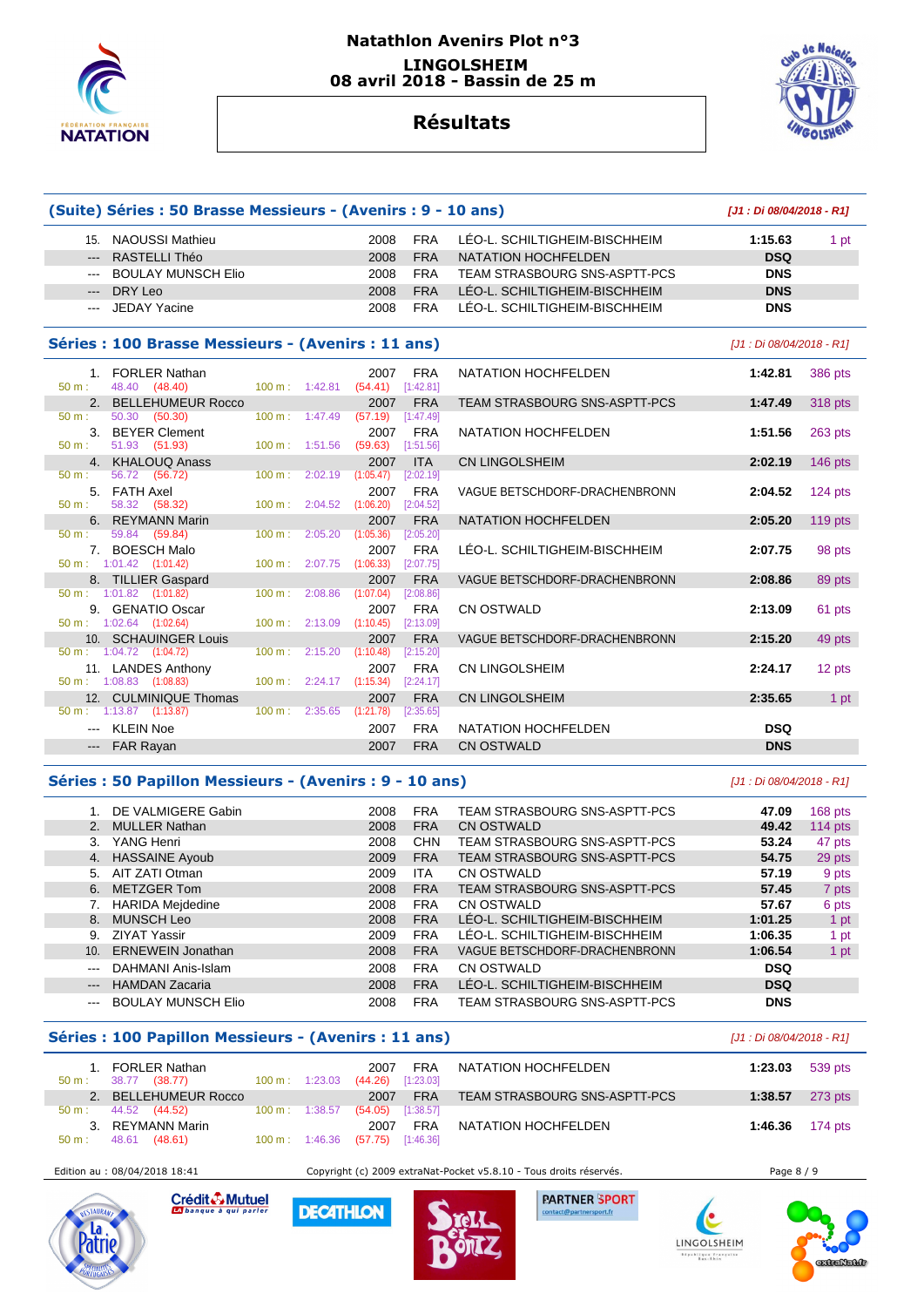

## **Natathlon Avenirs Plot n°3 LINGOLSHEIM 08 avril 2018 - Bassin de 25 m**



# **Résultats**

**(Suite) Séries : 50 Brasse Messieurs - (Avenirs : 9 - 10 ans) [J1 : Di 08/04/2018 - R1]**

| 15.                                                                                                                                                                                                                                                                                                                                                                                                                                                                        | NAOUSSI Mathieu                     |                                                    |                                      | 2008                               | <b>FRA</b> | LÉO-L. SCHILTIGHEIM-BISCHHEIM | 1:15.63                   | 1 pt      |
|----------------------------------------------------------------------------------------------------------------------------------------------------------------------------------------------------------------------------------------------------------------------------------------------------------------------------------------------------------------------------------------------------------------------------------------------------------------------------|-------------------------------------|----------------------------------------------------|--------------------------------------|------------------------------------|------------|-------------------------------|---------------------------|-----------|
| $---$                                                                                                                                                                                                                                                                                                                                                                                                                                                                      | RASTELLI Théo                       |                                                    |                                      | 2008                               | <b>FRA</b> | NATATION HOCHFELDEN           | <b>DSQ</b>                |           |
| $\cdots$                                                                                                                                                                                                                                                                                                                                                                                                                                                                   | <b>BOULAY MUNSCH Elio</b>           |                                                    |                                      | 2008                               | <b>FRA</b> | TEAM STRASBOURG SNS-ASPTT-PCS | <b>DNS</b>                |           |
| $---$                                                                                                                                                                                                                                                                                                                                                                                                                                                                      | DRY Leo                             |                                                    |                                      | 2008                               | <b>FRA</b> | LEO-L. SCHILTIGHEIM-BISCHHEIM | <b>DNS</b>                |           |
| $\frac{1}{2} \left( \frac{1}{2} \right) \left( \frac{1}{2} \right) \left( \frac{1}{2} \right) \left( \frac{1}{2} \right) \left( \frac{1}{2} \right) \left( \frac{1}{2} \right) \left( \frac{1}{2} \right) \left( \frac{1}{2} \right) \left( \frac{1}{2} \right) \left( \frac{1}{2} \right) \left( \frac{1}{2} \right) \left( \frac{1}{2} \right) \left( \frac{1}{2} \right) \left( \frac{1}{2} \right) \left( \frac{1}{2} \right) \left( \frac{1}{2} \right) \left( \frac$ | JEDAY Yacine                        |                                                    |                                      | 2008                               | <b>FRA</b> | LÉO-L. SCHILTIGHEIM-BISCHHEIM | <b>DNS</b>                |           |
|                                                                                                                                                                                                                                                                                                                                                                                                                                                                            |                                     | Séries : 100 Brasse Messieurs - (Avenirs : 11 ans) |                                      |                                    |            |                               | [J1 : Di 08/04/2018 - R1] |           |
|                                                                                                                                                                                                                                                                                                                                                                                                                                                                            | 1. FORLER Nathan                    |                                                    |                                      | 2007                               | FRA        | NATATION HOCHFELDEN           | 1:42.81                   | 386 pts   |
| $50 \text{ m}$ :                                                                                                                                                                                                                                                                                                                                                                                                                                                           | 48.40 (48.40)                       |                                                    |                                      | 100 m: 1:42.81 (54.41) [1:42.81]   |            |                               |                           |           |
|                                                                                                                                                                                                                                                                                                                                                                                                                                                                            | 2. BELLEHUMEUR Rocco                |                                                    |                                      | 2007                               | <b>FRA</b> | TEAM STRASBOURG SNS-ASPTT-PCS | 1:47.49                   | 318 pts   |
| $50 \text{ m}$ :                                                                                                                                                                                                                                                                                                                                                                                                                                                           | 50.30 (50.30)                       |                                                    | $100 \text{ m}: 1:47.49$             | $(57.19)$ [1:47.49]                |            |                               |                           |           |
|                                                                                                                                                                                                                                                                                                                                                                                                                                                                            | 3. BEYER Clement                    |                                                    |                                      | 2007                               | <b>FRA</b> | NATATION HOCHFELDEN           | 1:51.56                   | $263$ pts |
| $50 \text{ m}$ :                                                                                                                                                                                                                                                                                                                                                                                                                                                           |                                     | 51.93 (51.93) 100 m : 1:51.56 (59.63) [1:51.56]    |                                      |                                    |            |                               |                           |           |
|                                                                                                                                                                                                                                                                                                                                                                                                                                                                            | 4. KHALOUQ Anass                    |                                                    |                                      | 2007                               | <b>ITA</b> | <b>CN LINGOLSHEIM</b>         | 2:02.19                   | $146$ pts |
| 50 m:                                                                                                                                                                                                                                                                                                                                                                                                                                                                      | 56.72 (56.72)                       |                                                    | $100 \text{ m}: 2:02.19$ $(1:05.47)$ |                                    | [2:02.19]  |                               |                           |           |
|                                                                                                                                                                                                                                                                                                                                                                                                                                                                            | 5. FATH Axel                        |                                                    |                                      | 2007                               | <b>FRA</b> | VAGUE BETSCHDORF-DRACHENBRONN | 2:04.52                   | $124$ pts |
| 50 m:                                                                                                                                                                                                                                                                                                                                                                                                                                                                      | 58.32 (58.32)                       |                                                    | $100 \text{ m}: 2:04.52$ $(1:06.20)$ |                                    | [2:04.52]  |                               |                           |           |
|                                                                                                                                                                                                                                                                                                                                                                                                                                                                            | 6. REYMANN Marin                    |                                                    |                                      | 2007                               | <b>FRA</b> | NATATION HOCHFELDEN           | 2:05.20                   | $119$ pts |
| $50 \text{ m}$ :                                                                                                                                                                                                                                                                                                                                                                                                                                                           | 59.84 (59.84)                       |                                                    | 100 m: 2:05.20                       | (1:05.36)                          | [2:05.20]  |                               |                           |           |
|                                                                                                                                                                                                                                                                                                                                                                                                                                                                            | 7. BOESCH Malo                      |                                                    |                                      | 2007                               | FRA        | LÉO-L. SCHILTIGHEIM-BISCHHEIM | 2:07.75                   | 98 pts    |
|                                                                                                                                                                                                                                                                                                                                                                                                                                                                            | $50 \text{ m}: 1:01.42$ $(1:01.42)$ |                                                    |                                      | 100 m: 2:07.75 (1:06.33) [2:07.75] |            |                               |                           |           |

8. TILLIER Gaspard 2007 FRA VAGUE BETSCHDORF-DRACHENBRONN **2:08.86** 89 pts

10. SCHAUINGER Louis 2007 FRA VAGUE BETSCHDORF-DRACHENBRONN **2:15.20** 49 pts

11. LANDES Anthony **2007 FRA** CN LINGOLSHEIM **2:24.17** 12 pts

12. CULMINIQUE Thomas 2007 FRA CN LINGOLSHEIM **2:35.65** 1 pt

 --- KLEIN Noe 2007 FRA NATATION HOCHFELDEN **DSQ**  --- FAR Rayan 2007 FRA CN OSTWALD **DNS** 

9. GENATIO Oscar 2007 FRA CN OSTWALD **2:13.09** 61 pts

## **Séries : 50 Papillon Messieurs - (Avenirs : 9 - 10 ans)** [J1 : Di 08/04/2018 - R1]

50 m : 1:01.82 (1:01.82) 100 m : 2:08.86 (1:07.04) [2:08.86]

 $1:08.83$   $(1:08.83)$   $100 \text{ m}$ : 2:24.17  $(1:15.34)$ 

50 m : 1:13.87 (1:13.87) 100 m : 2:35.65 (1:21.78) [2:35.65]

50 m : 1:04.72 (1:04.72) 100 m : 2:15.20 (1:10.48) [2:15.20]

|                                                                                                | DE VALMIGERE Gabin        | 2008 | <b>FRA</b> | TEAM STRASBOURG SNS-ASPTT-PCS | 47.09      | $168$ pts |
|------------------------------------------------------------------------------------------------|---------------------------|------|------------|-------------------------------|------------|-----------|
| 2.                                                                                             | <b>MULLER Nathan</b>      | 2008 | <b>FRA</b> | <b>CN OSTWALD</b>             | 49.42      | 114 $pts$ |
| 3.                                                                                             | YANG Henri                | 2008 | <b>CHN</b> | TEAM STRASBOURG SNS-ASPTT-PCS | 53.24      | 47 pts    |
|                                                                                                | 4. HASSAINE Ayoub         | 2009 | <b>FRA</b> | TEAM STRASBOURG SNS-ASPTT-PCS | 54.75      | 29 pts    |
| 5.                                                                                             | AIT ZATI Otman            | 2009 | <b>ITA</b> | CN OSTWALD                    | 57.19      | 9 pts     |
| 6.                                                                                             | METZGER Tom               | 2008 | <b>FRA</b> | TEAM STRASBOURG SNS-ASPTT-PCS | 57.45      | 7 pts     |
|                                                                                                | <b>HARIDA Mejdedine</b>   | 2008 | <b>FRA</b> | CN OSTWALD                    | 57.67      | 6 pts     |
| 8.                                                                                             | MUNSCH Leo                | 2008 | <b>FRA</b> | LEO-L. SCHILTIGHEIM-BISCHHEIM | 1:01.25    | 1 pt      |
| 9.                                                                                             | <b>ZIYAT Yassir</b>       | 2009 | <b>FRA</b> | LÉO-L. SCHILTIGHEIM-BISCHHEIM | 1:06.35    | 1 pt      |
| 10 <sub>1</sub>                                                                                | <b>ERNEWEIN Jonathan</b>  | 2008 | <b>FRA</b> | VAGUE BETSCHDORF-DRACHENBRONN | 1:06.54    | 1 pt      |
| $\frac{1}{2} \left( \frac{1}{2} \right) \left( \frac{1}{2} \right) \left( \frac{1}{2} \right)$ | DAHMANI Anis-Islam        | 2008 | <b>FRA</b> | CN OSTWALD                    | <b>DSQ</b> |           |
| $\qquad \qquad - -$                                                                            | <b>HAMDAN Zacaria</b>     | 2008 | <b>FRA</b> | LÉO-L. SCHILTIGHEIM-BISCHHEIM | <b>DSQ</b> |           |
|                                                                                                | <b>BOULAY MUNSCH Elio</b> | 2008 | <b>FRA</b> | TEAM STRASBOURG SNS-ASPTT-PCS | <b>DNS</b> |           |

#### **Séries : 100 Papillon Messieurs - (Avenirs : 11 ans)** [J1 : Di 08/04/2018 - R1]

| $50 m$ : | 1. FORLER Nathan<br>(38.77)<br>38.77 | $100 \text{ m}: 1:23.03$ | 2007<br>$(44.26)$ [1:23.03] | <b>FRA</b> | NATATION HOCHFELDEN           | 1:23.03                   | 539 pts |
|----------|--------------------------------------|--------------------------|-----------------------------|------------|-------------------------------|---------------------------|---------|
|          | BELLEHUMEUR Rocco                    |                          | 2007                        | <b>FRA</b> | TEAM STRASBOURG SNS-ASPTT-PCS | 1:38.57                   | 273 pts |
| $50 m$ : | 44.52 (44.52)                        | $100 \text{ m}: 1:38.57$ | $(54.05)$ [1:38.57]         |            |                               |                           |         |
| 3.       | REYMANN Marin                        |                          | 2007                        | <b>FRA</b> | NATATION HOCHFELDEN           | 1:46.36 $174 \text{ pts}$ |         |
| 50 m:    | 48.61<br>(48.61)                     | $100 \text{ m}: 1:46.36$ | $(57.75)$ [1:46.36]         |            |                               |                           |         |

 $50 \text{ m}$  : 1:02.64 (1:02.64)



Crédit & Mutuel

**DECATHLON** 

Edition au : 08/04/2018 18:41 Copyright (c) 2009 extraNat-Pocket v5.8.10 - Tous droits réservés. Page 8 / 9